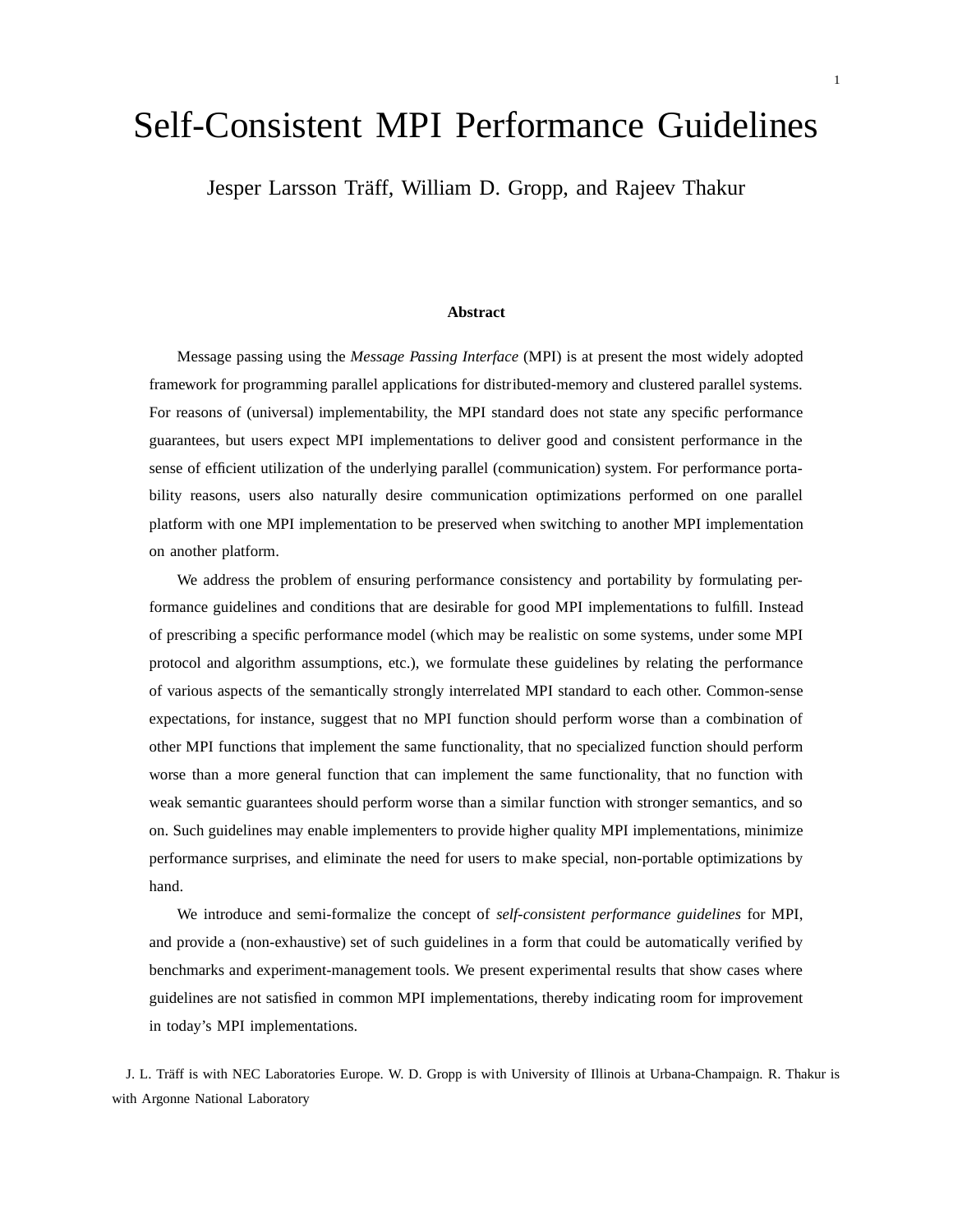# Self-Consistent MPI Performance Guidelines

Jesper Larsson Träff, William D. Gropp, and Rajeev Thakur

#### **Abstract**

Message passing using the *Message Passing Interface* (MPI) is at present the most widely adopted framework for programming parallel applications for distributed-memory and clustered parallel systems. For reasons of (universal) implementability, the MPI standard does not state any specific performance guarantees, but users expect MPI implementations to deliver good and consistent performance in the sense of efficient utilization of the underlying parallel (communication) system. For performance portability reasons, users also naturally desire communication optimizations performed on one parallel platform with one MPI implementation to be preserved when switching to another MPI implementation on another platform.

We address the problem of ensuring performance consistency and portability by formulating performance guidelines and conditions that are desirable for good MPI implementations to fulfill. Instead of prescribing a specific performance model (which may be realistic on some systems, under some MPI protocol and algorithm assumptions, etc.), we formulate these guidelines by relating the performance of various aspects of the semantically strongly interrelated MPI standard to each other. Common-sense expectations, for instance, suggest that no MPI function should perform worse than a combination of other MPI functions that implement the same functionality, that no specialized function should perform worse than a more general function that can implement the same functionality, that no function with weak semantic guarantees should perform worse than a similar function with stronger semantics, and so on. Such guidelines may enable implementers to provide higher quality MPI implementations, minimize performance surprises, and eliminate the need for users to make special, non-portable optimizations by hand.

We introduce and semi-formalize the concept of *self-consistent performance guidelines* for MPI, and provide a (non-exhaustive) set of such guidelines in a form that could be automatically verified by benchmarks and experiment-management tools. We present experimental results that show cases where guidelines are not satisfied in common MPI implementations, thereby indicating room for improvement in today's MPI implementations.

J. L. Träff is with NEC Laboratories Europe. W. D. Gropp is with University of Illinois at Urbana-Champaign. R. Thakur is with Argonne National Laboratory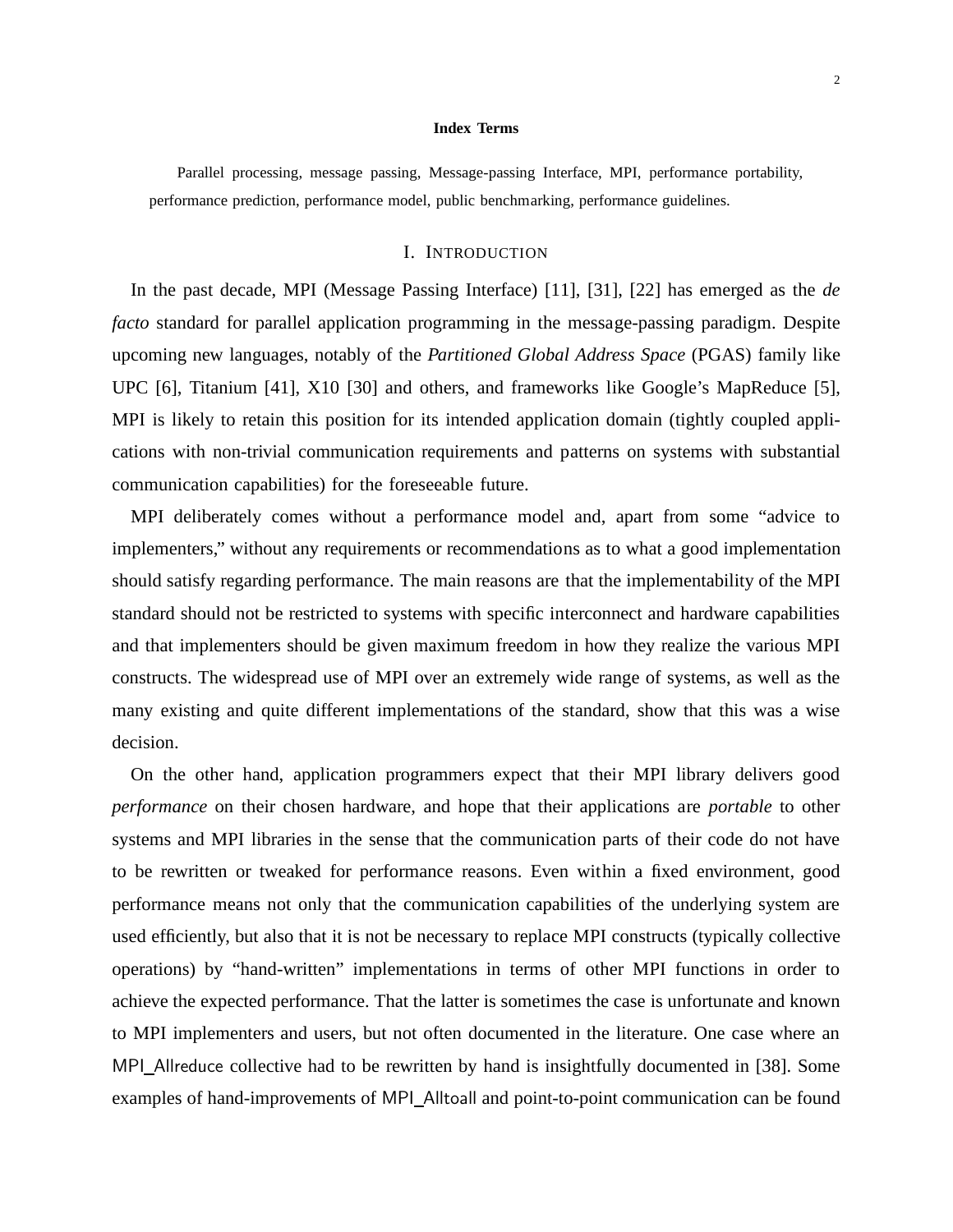#### **Index Terms**

Parallel processing, message passing, Message-passing Interface, MPI, performance portability, performance prediction, performance model, public benchmarking, performance guidelines.

# I. INTRODUCTION

In the past decade, MPI (Message Passing Interface) [11], [31], [22] has emerged as the *de facto* standard for parallel application programming in the message-passing paradigm. Despite upcoming new languages, notably of the *Partitioned Global Address Space* (PGAS) family like UPC [6], Titanium [41], X10 [30] and others, and frameworks like Google's MapReduce [5], MPI is likely to retain this position for its intended application domain (tightly coupled applications with non-trivial communication requirements and patterns on systems with substantial communication capabilities) for the foreseeable future.

MPI deliberately comes without a performance model and, apart from some "advice to implementers," without any requirements or recommendations as to what a good implementation should satisfy regarding performance. The main reasons are that the implementability of the MPI standard should not be restricted to systems with specific interconnect and hardware capabilities and that implementers should be given maximum freedom in how they realize the various MPI constructs. The widespread use of MPI over an extremely wide range of systems, as well as the many existing and quite different implementations of the standard, show that this was a wise decision.

On the other hand, application programmers expect that their MPI library delivers good *performance* on their chosen hardware, and hope that their applications are *portable* to other systems and MPI libraries in the sense that the communication parts of their code do not have to be rewritten or tweaked for performance reasons. Even within a fixed environment, good performance means not only that the communication capabilities of the underlying system are used efficiently, but also that it is not be necessary to replace MPI constructs (typically collective operations) by "hand-written" implementations in terms of other MPI functions in order to achieve the expected performance. That the latter is sometimes the case is unfortunate and known to MPI implementers and users, but not often documented in the literature. One case where an MPI\_Allreduce collective had to be rewritten by hand is insightfully documented in [38]. Some examples of hand-improvements of MPI Alltoall and point-to-point communication can be found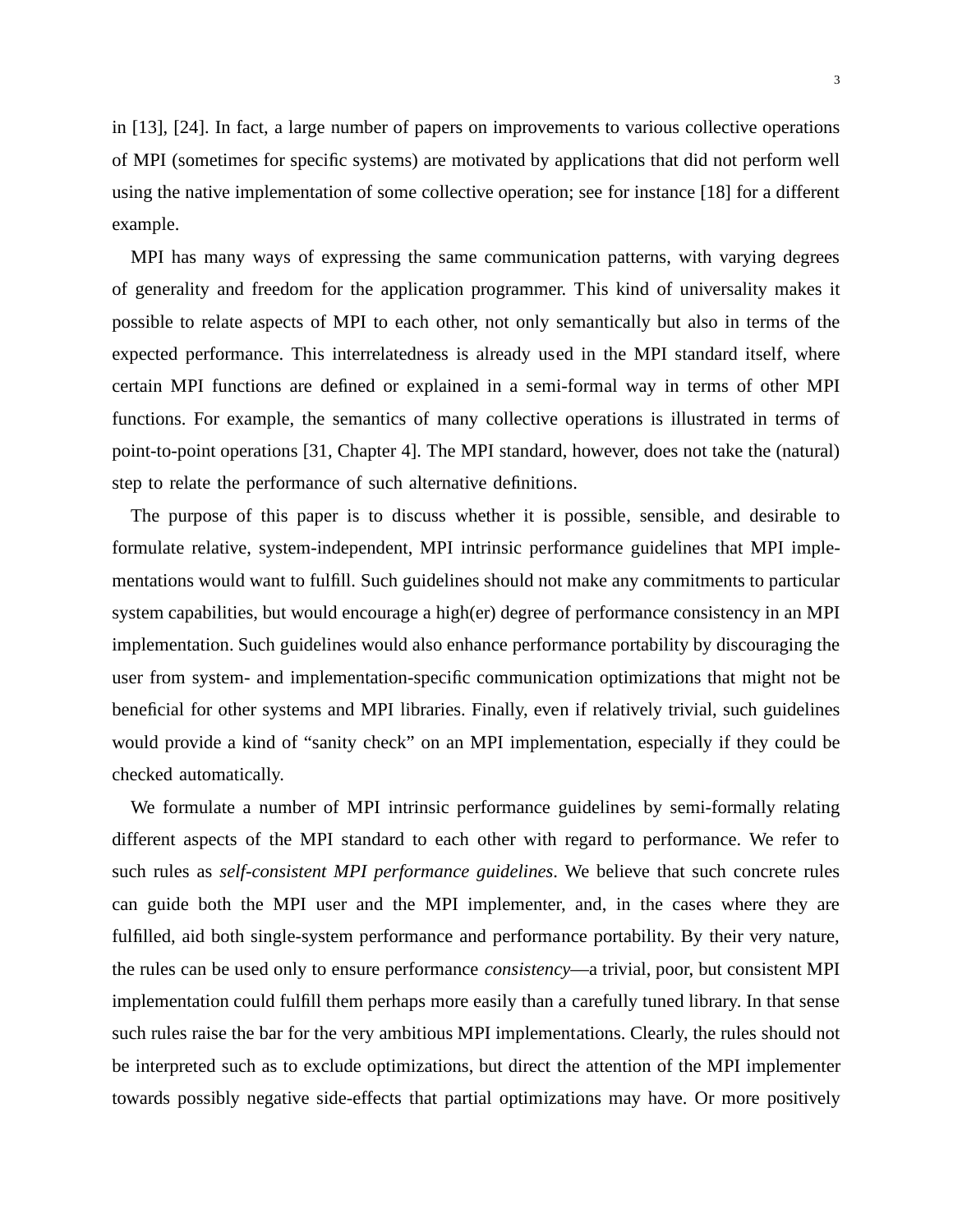in [13], [24]. In fact, a large number of papers on improvements to various collective operations of MPI (sometimes for specific systems) are motivated by applications that did not perform well using the native implementation of some collective operation; see for instance [18] for a different example.

MPI has many ways of expressing the same communication patterns, with varying degrees of generality and freedom for the application programmer. This kind of universality makes it possible to relate aspects of MPI to each other, not only semantically but also in terms of the expected performance. This interrelatedness is already used in the MPI standard itself, where certain MPI functions are defined or explained in a semi-formal way in terms of other MPI functions. For example, the semantics of many collective operations is illustrated in terms of point-to-point operations [31, Chapter 4]. The MPI standard, however, does not take the (natural) step to relate the performance of such alternative definitions.

The purpose of this paper is to discuss whether it is possible, sensible, and desirable to formulate relative, system-independent, MPI intrinsic performance guidelines that MPI implementations would want to fulfill. Such guidelines should not make any commitments to particular system capabilities, but would encourage a high(er) degree of performance consistency in an MPI implementation. Such guidelines would also enhance performance portability by discouraging the user from system- and implementation-specific communication optimizations that might not be beneficial for other systems and MPI libraries. Finally, even if relatively trivial, such guidelines would provide a kind of "sanity check" on an MPI implementation, especially if they could be checked automatically.

We formulate a number of MPI intrinsic performance guidelines by semi-formally relating different aspects of the MPI standard to each other with regard to performance. We refer to such rules as *self-consistent MPI performance guidelines*. We believe that such concrete rules can guide both the MPI user and the MPI implementer, and, in the cases where they are fulfilled, aid both single-system performance and performance portability. By their very nature, the rules can be used only to ensure performance *consistency*—a trivial, poor, but consistent MPI implementation could fulfill them perhaps more easily than a carefully tuned library. In that sense such rules raise the bar for the very ambitious MPI implementations. Clearly, the rules should not be interpreted such as to exclude optimizations, but direct the attention of the MPI implementer towards possibly negative side-effects that partial optimizations may have. Or more positively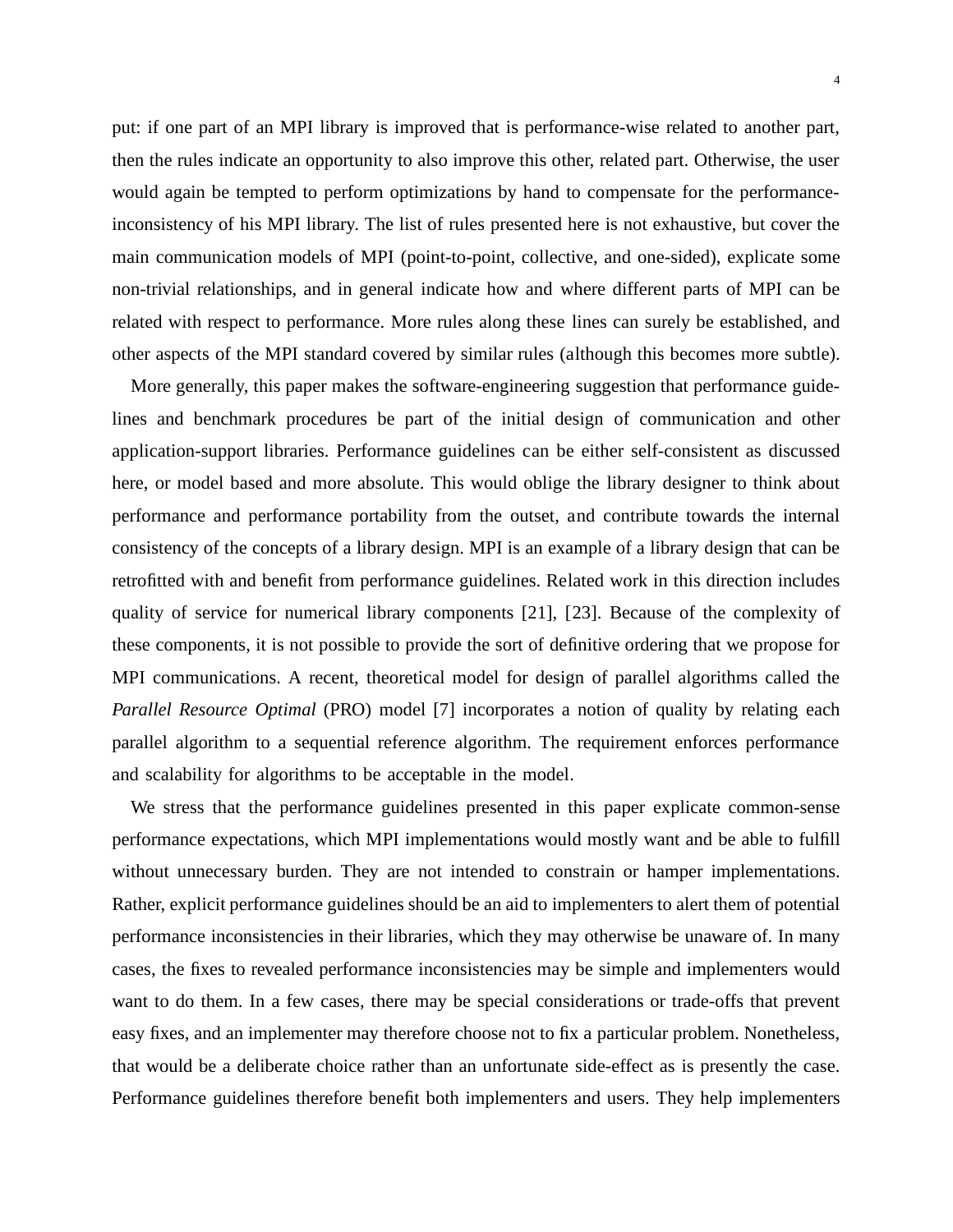put: if one part of an MPI library is improved that is performance-wise related to another part, then the rules indicate an opportunity to also improve this other, related part. Otherwise, the user would again be tempted to perform optimizations by hand to compensate for the performanceinconsistency of his MPI library. The list of rules presented here is not exhaustive, but cover the main communication models of MPI (point-to-point, collective, and one-sided), explicate some non-trivial relationships, and in general indicate how and where different parts of MPI can be related with respect to performance. More rules along these lines can surely be established, and other aspects of the MPI standard covered by similar rules (although this becomes more subtle).

More generally, this paper makes the software-engineering suggestion that performance guidelines and benchmark procedures be part of the initial design of communication and other application-support libraries. Performance guidelines can be either self-consistent as discussed here, or model based and more absolute. This would oblige the library designer to think about performance and performance portability from the outset, and contribute towards the internal consistency of the concepts of a library design. MPI is an example of a library design that can be retrofitted with and benefit from performance guidelines. Related work in this direction includes quality of service for numerical library components [21], [23]. Because of the complexity of these components, it is not possible to provide the sort of definitive ordering that we propose for MPI communications. A recent, theoretical model for design of parallel algorithms called the *Parallel Resource Optimal* (PRO) model [7] incorporates a notion of quality by relating each parallel algorithm to a sequential reference algorithm. The requirement enforces performance and scalability for algorithms to be acceptable in the model.

We stress that the performance guidelines presented in this paper explicate common-sense performance expectations, which MPI implementations would mostly want and be able to fulfill without unnecessary burden. They are not intended to constrain or hamper implementations. Rather, explicit performance guidelines should be an aid to implementers to alert them of potential performance inconsistencies in their libraries, which they may otherwise be unaware of. In many cases, the fixes to revealed performance inconsistencies may be simple and implementers would want to do them. In a few cases, there may be special considerations or trade-offs that prevent easy fixes, and an implementer may therefore choose not to fix a particular problem. Nonetheless, that would be a deliberate choice rather than an unfortunate side-effect as is presently the case. Performance guidelines therefore benefit both implementers and users. They help implementers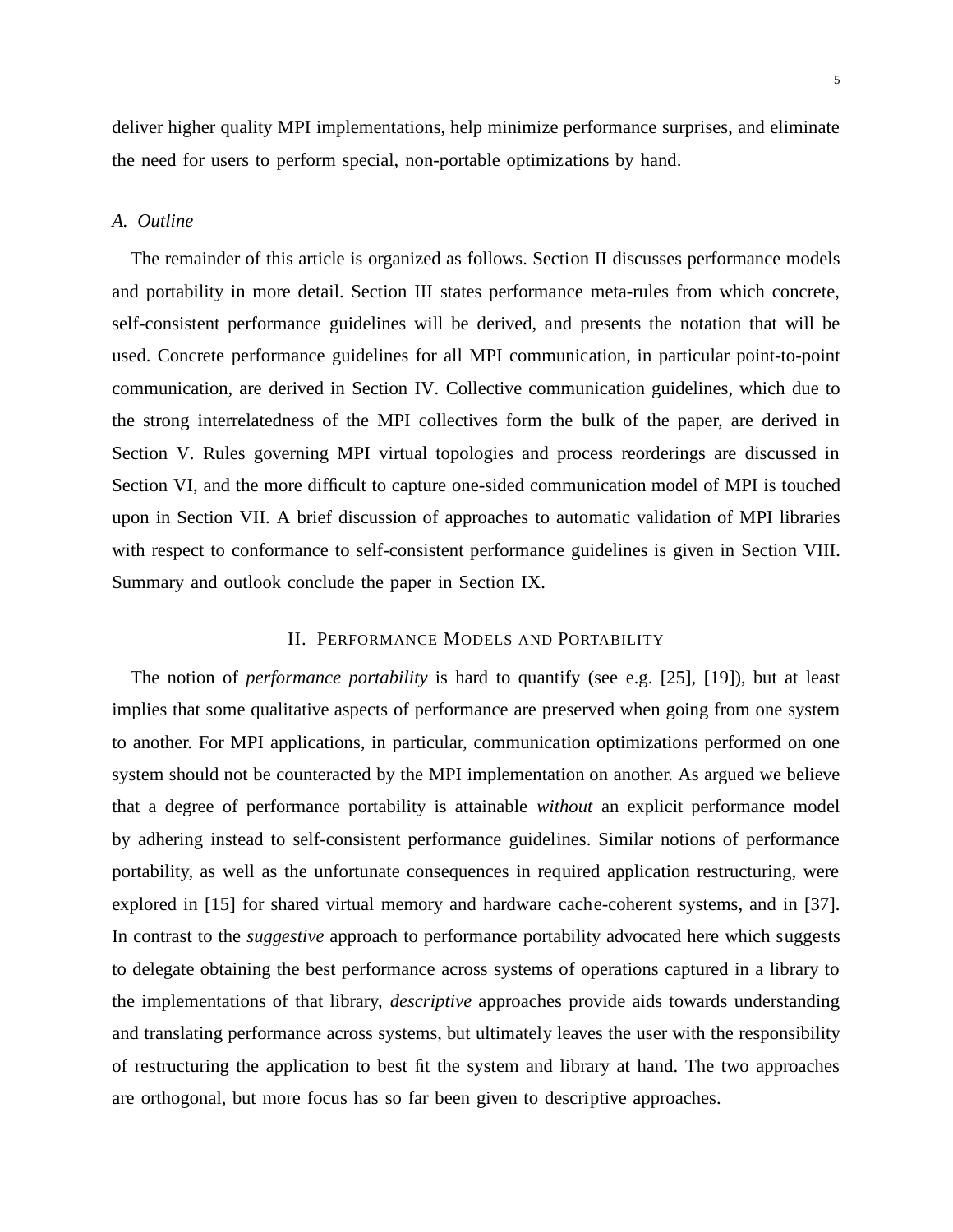deliver higher quality MPI implementations, help minimize performance surprises, and eliminate the need for users to perform special, non-portable optimizations by hand.

# *A. Outline*

The remainder of this article is organized as follows. Section II discusses performance models and portability in more detail. Section III states performance meta-rules from which concrete, self-consistent performance guidelines will be derived, and presents the notation that will be used. Concrete performance guidelines for all MPI communication, in particular point-to-point communication, are derived in Section IV. Collective communication guidelines, which due to the strong interrelatedness of the MPI collectives form the bulk of the paper, are derived in Section V. Rules governing MPI virtual topologies and process reorderings are discussed in Section VI, and the more difficult to capture one-sided communication model of MPI is touched upon in Section VII. A brief discussion of approaches to automatic validation of MPI libraries with respect to conformance to self-consistent performance guidelines is given in Section VIII. Summary and outlook conclude the paper in Section IX.

## II. PERFORMANCE MODELS AND PORTABILITY

The notion of *performance portability* is hard to quantify (see e.g. [25], [19]), but at least implies that some qualitative aspects of performance are preserved when going from one system to another. For MPI applications, in particular, communication optimizations performed on one system should not be counteracted by the MPI implementation on another. As argued we believe that a degree of performance portability is attainable *without* an explicit performance model by adhering instead to self-consistent performance guidelines. Similar notions of performance portability, as well as the unfortunate consequences in required application restructuring, were explored in [15] for shared virtual memory and hardware cache-coherent systems, and in [37]. In contrast to the *suggestive* approach to performance portability advocated here which suggests to delegate obtaining the best performance across systems of operations captured in a library to the implementations of that library, *descriptive* approaches provide aids towards understanding and translating performance across systems, but ultimately leaves the user with the responsibility of restructuring the application to best fit the system and library at hand. The two approaches are orthogonal, but more focus has so far been given to descriptive approaches.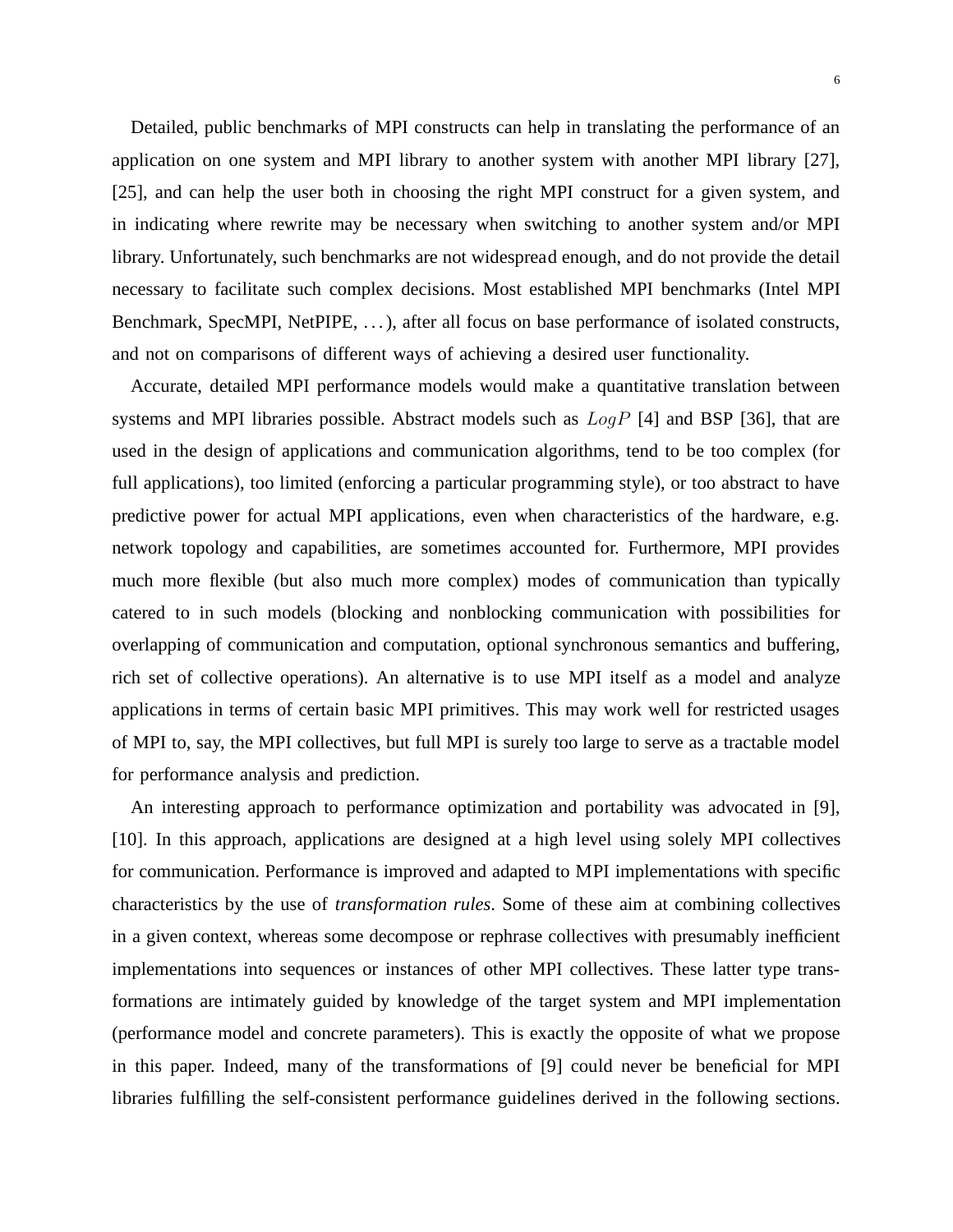Detailed, public benchmarks of MPI constructs can help in translating the performance of an application on one system and MPI library to another system with another MPI library [27], [25], and can help the user both in choosing the right MPI construct for a given system, and in indicating where rewrite may be necessary when switching to another system and/or MPI library. Unfortunately, such benchmarks are not widespread enough, and do not provide the detail necessary to facilitate such complex decisions. Most established MPI benchmarks (Intel MPI Benchmark, SpecMPI, NetPIPE, ...), after all focus on base performance of isolated constructs, and not on comparisons of different ways of achieving a desired user functionality.

Accurate, detailed MPI performance models would make a quantitative translation between systems and MPI libraries possible. Abstract models such as  $LogP$  [4] and BSP [36], that are used in the design of applications and communication algorithms, tend to be too complex (for full applications), too limited (enforcing a particular programming style), or too abstract to have predictive power for actual MPI applications, even when characteristics of the hardware, e.g. network topology and capabilities, are sometimes accounted for. Furthermore, MPI provides much more flexible (but also much more complex) modes of communication than typically catered to in such models (blocking and nonblocking communication with possibilities for overlapping of communication and computation, optional synchronous semantics and buffering, rich set of collective operations). An alternative is to use MPI itself as a model and analyze applications in terms of certain basic MPI primitives. This may work well for restricted usages of MPI to, say, the MPI collectives, but full MPI is surely too large to serve as a tractable model for performance analysis and prediction.

An interesting approach to performance optimization and portability was advocated in [9], [10]. In this approach, applications are designed at a high level using solely MPI collectives for communication. Performance is improved and adapted to MPI implementations with specific characteristics by the use of *transformation rules*. Some of these aim at combining collectives in a given context, whereas some decompose or rephrase collectives with presumably inefficient implementations into sequences or instances of other MPI collectives. These latter type transformations are intimately guided by knowledge of the target system and MPI implementation (performance model and concrete parameters). This is exactly the opposite of what we propose in this paper. Indeed, many of the transformations of [9] could never be beneficial for MPI libraries fulfilling the self-consistent performance guidelines derived in the following sections.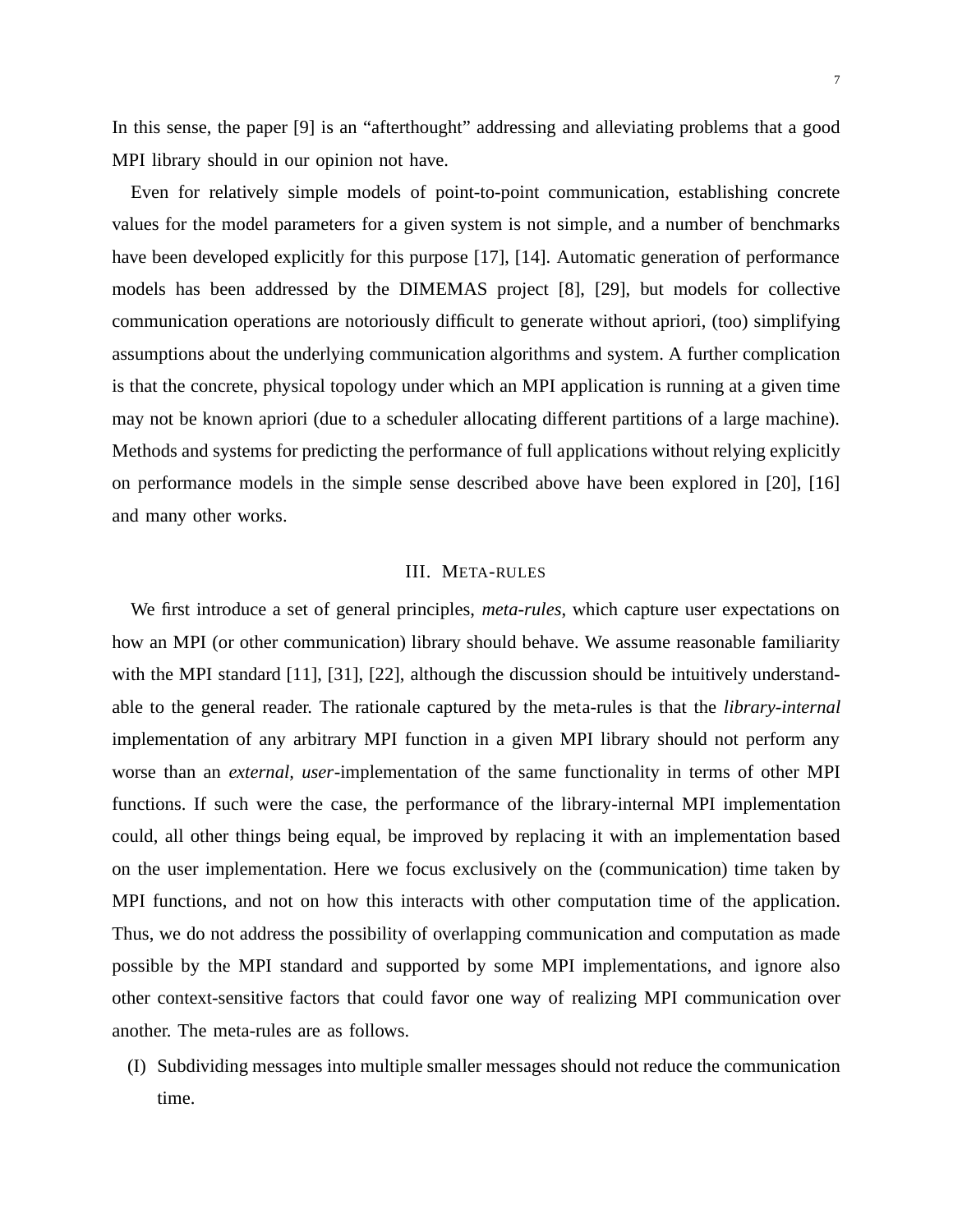In this sense, the paper [9] is an "afterthought" addressing and alleviating problems that a good MPI library should in our opinion not have.

Even for relatively simple models of point-to-point communication, establishing concrete values for the model parameters for a given system is not simple, and a number of benchmarks have been developed explicitly for this purpose [17], [14]. Automatic generation of performance models has been addressed by the DIMEMAS project [8], [29], but models for collective communication operations are notoriously difficult to generate without apriori, (too) simplifying assumptions about the underlying communication algorithms and system. A further complication is that the concrete, physical topology under which an MPI application is running at a given time may not be known apriori (due to a scheduler allocating different partitions of a large machine). Methods and systems for predicting the performance of full applications without relying explicitly on performance models in the simple sense described above have been explored in [20], [16] and many other works.

# III. META-RULES

We first introduce a set of general principles, *meta-rules*, which capture user expectations on how an MPI (or other communication) library should behave. We assume reasonable familiarity with the MPI standard [11], [31], [22], although the discussion should be intuitively understandable to the general reader. The rationale captured by the meta-rules is that the *library-internal* implementation of any arbitrary MPI function in a given MPI library should not perform any worse than an *external, user*-implementation of the same functionality in terms of other MPI functions. If such were the case, the performance of the library-internal MPI implementation could, all other things being equal, be improved by replacing it with an implementation based on the user implementation. Here we focus exclusively on the (communication) time taken by MPI functions, and not on how this interacts with other computation time of the application. Thus, we do not address the possibility of overlapping communication and computation as made possible by the MPI standard and supported by some MPI implementations, and ignore also other context-sensitive factors that could favor one way of realizing MPI communication over another. The meta-rules are as follows.

(I) Subdividing messages into multiple smaller messages should not reduce the communication time.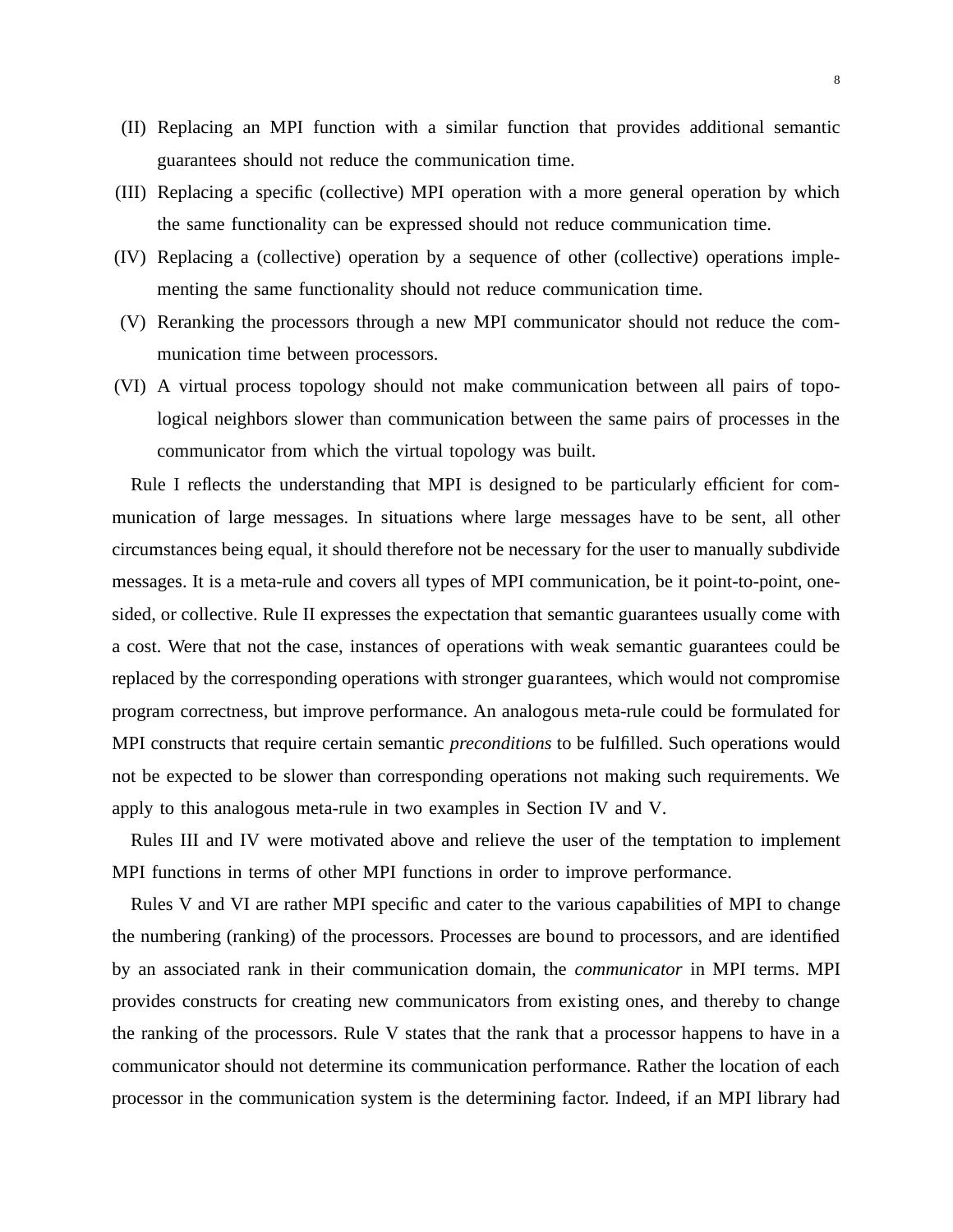- (II) Replacing an MPI function with a similar function that provides additional semantic guarantees should not reduce the communication time.
- (III) Replacing a specific (collective) MPI operation with a more general operation by which the same functionality can be expressed should not reduce communication time.
- (IV) Replacing a (collective) operation by a sequence of other (collective) operations implementing the same functionality should not reduce communication time.
- (V) Reranking the processors through a new MPI communicator should not reduce the communication time between processors.
- (VI) A virtual process topology should not make communication between all pairs of topological neighbors slower than communication between the same pairs of processes in the communicator from which the virtual topology was built.

Rule I reflects the understanding that MPI is designed to be particularly efficient for communication of large messages. In situations where large messages have to be sent, all other circumstances being equal, it should therefore not be necessary for the user to manually subdivide messages. It is a meta-rule and covers all types of MPI communication, be it point-to-point, onesided, or collective. Rule II expresses the expectation that semantic guarantees usually come with a cost. Were that not the case, instances of operations with weak semantic guarantees could be replaced by the corresponding operations with stronger guarantees, which would not compromise program correctness, but improve performance. An analogous meta-rule could be formulated for MPI constructs that require certain semantic *preconditions* to be fulfilled. Such operations would not be expected to be slower than corresponding operations not making such requirements. We apply to this analogous meta-rule in two examples in Section IV and V.

Rules III and IV were motivated above and relieve the user of the temptation to implement MPI functions in terms of other MPI functions in order to improve performance.

Rules V and VI are rather MPI specific and cater to the various capabilities of MPI to change the numbering (ranking) of the processors. Processes are bound to processors, and are identified by an associated rank in their communication domain, the *communicator* in MPI terms. MPI provides constructs for creating new communicators from existing ones, and thereby to change the ranking of the processors. Rule V states that the rank that a processor happens to have in a communicator should not determine its communication performance. Rather the location of each processor in the communication system is the determining factor. Indeed, if an MPI library had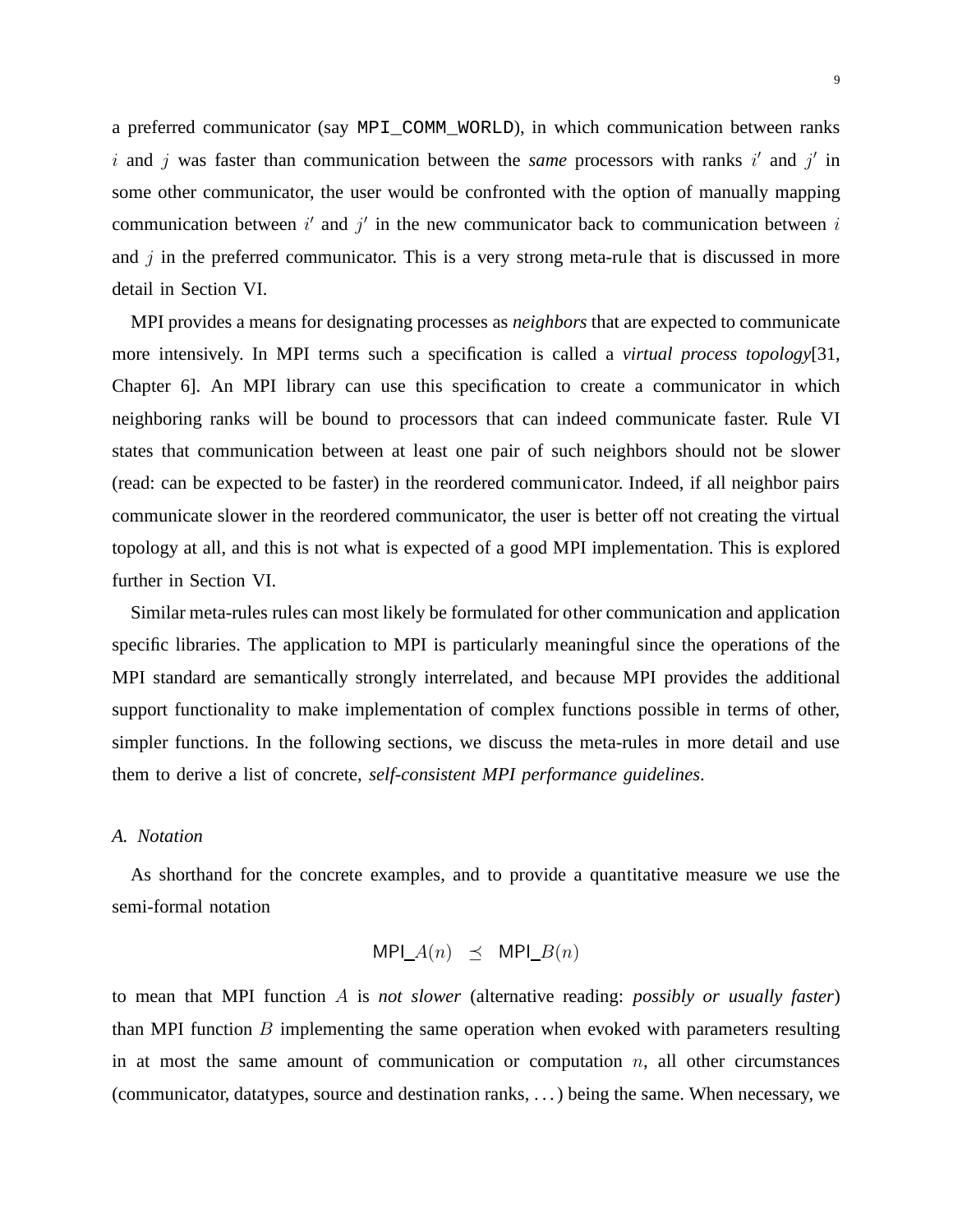a preferred communicator (say MPI\_COMM\_WORLD), in which communication between ranks i and j was faster than communication between the *same* processors with ranks i' and j' in some other communicator, the user would be confronted with the option of manually mapping communication between  $i'$  and  $j'$  in the new communicator back to communication between  $i$ and  $j$  in the preferred communicator. This is a very strong meta-rule that is discussed in more detail in Section VI.

MPI provides a means for designating processes as *neighbors* that are expected to communicate more intensively. In MPI terms such a specification is called a *virtual process topology*[31, Chapter 6]. An MPI library can use this specification to create a communicator in which neighboring ranks will be bound to processors that can indeed communicate faster. Rule VI states that communication between at least one pair of such neighbors should not be slower (read: can be expected to be faster) in the reordered communicator. Indeed, if all neighbor pairs communicate slower in the reordered communicator, the user is better off not creating the virtual topology at all, and this is not what is expected of a good MPI implementation. This is explored further in Section VI.

Similar meta-rules rules can most likely be formulated for other communication and application specific libraries. The application to MPI is particularly meaningful since the operations of the MPI standard are semantically strongly interrelated, and because MPI provides the additional support functionality to make implementation of complex functions possible in terms of other, simpler functions. In the following sections, we discuss the meta-rules in more detail and use them to derive a list of concrete, *self-consistent MPI performance guidelines*.

#### *A. Notation*

As shorthand for the concrete examples, and to provide a quantitative measure we use the semi-formal notation

$$
MPI\_A(n) \preceq MPI\_B(n)
$$

to mean that MPI function A is *not slower* (alternative reading: *possibly or usually faster*) than MPI function  $B$  implementing the same operation when evoked with parameters resulting in at most the same amount of communication or computation  $n$ , all other circumstances (communicator, datatypes, source and destination ranks, . . . ) being the same. When necessary, we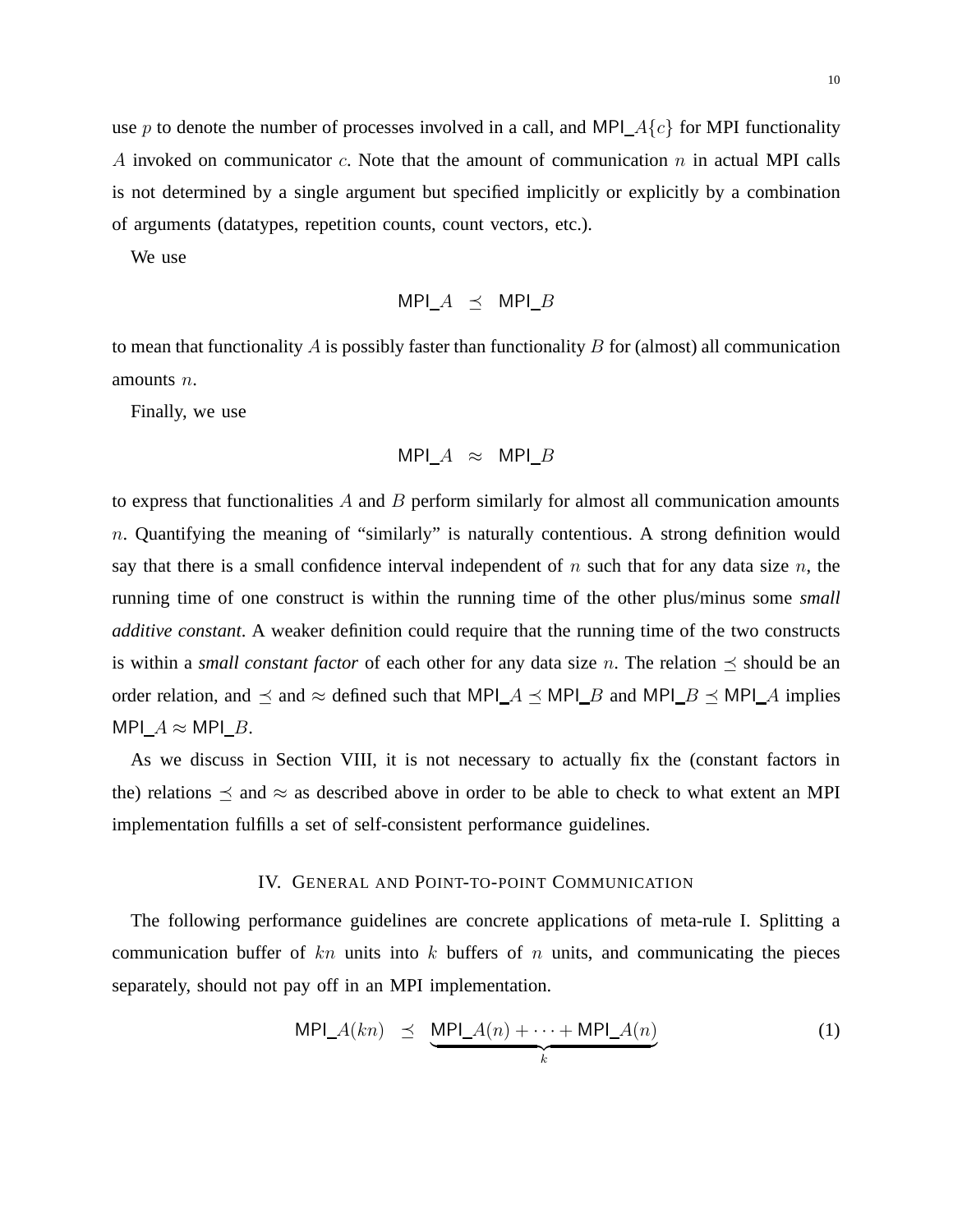use p to denote the number of processes involved in a call, and MPI  $A\{c\}$  for MPI functionality A invoked on communicator c. Note that the amount of communication  $n$  in actual MPI calls is not determined by a single argument but specified implicitly or explicitly by a combination of arguments (datatypes, repetition counts, count vectors, etc.).

We use

$$
\mathsf{MPI\_A} \preceq \mathsf{MPI\_B}
$$

to mean that functionality A is possibly faster than functionality B for (almost) all communication amounts n.

Finally, we use

$$
\text{MPI\_A} \approx \text{MPI\_B}
$$

to express that functionalities  $A$  and  $B$  perform similarly for almost all communication amounts n. Quantifying the meaning of "similarly" is naturally contentious. A strong definition would say that there is a small confidence interval independent of  $n$  such that for any data size  $n$ , the running time of one construct is within the running time of the other plus/minus some *small additive constant*. A weaker definition could require that the running time of the two constructs is within a *small constant factor* of each other for any data size n. The relation  $\prec$  should be an order relation, and  $\prec$  and  $\approx$  defined such that MPI  $A \prec MPI \cdot B$  and MPI  $B \prec MPI \cdot A$  implies MPI  $A \approx MPI$  B.

As we discuss in Section VIII, it is not necessary to actually fix the (constant factors in the) relations  $\prec$  and  $\approx$  as described above in order to be able to check to what extent an MPI implementation fulfills a set of self-consistent performance guidelines.

## IV. GENERAL AND POINT-TO-POINT COMMUNICATION

The following performance guidelines are concrete applications of meta-rule I. Splitting a communication buffer of  $kn$  units into k buffers of n units, and communicating the pieces separately, should not pay off in an MPI implementation.

$$
MPI\_A(kn) \leq \underbrace{MPI\_A(n) + \cdots + MPI\_A(n)}_{k}
$$
 (1)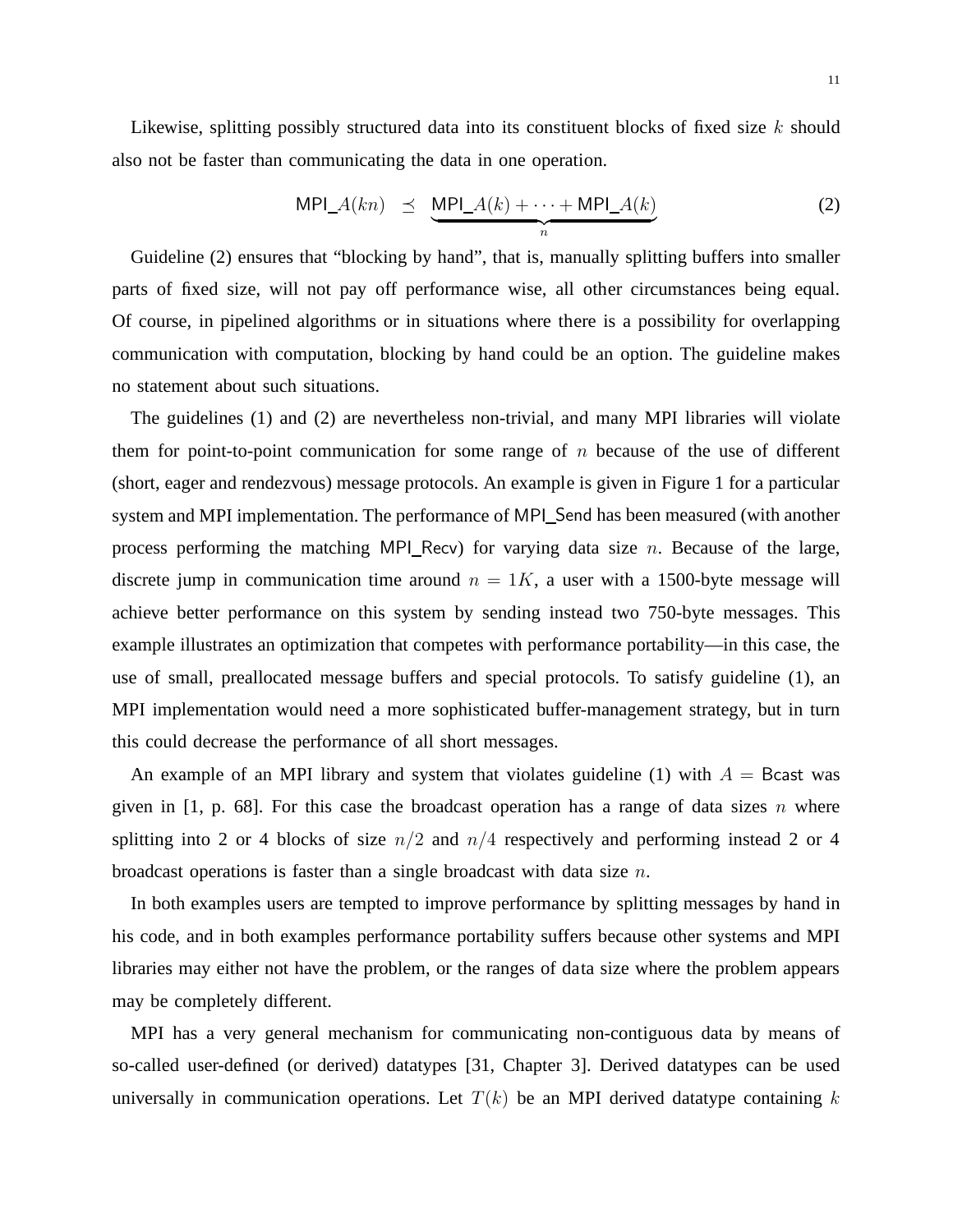Likewise, splitting possibly structured data into its constituent blocks of fixed size  $k$  should also not be faster than communicating the data in one operation.

$$
MPI\_A(kn) \leq \underbrace{MPI\_A(k) + \dots + MPI\_A(k)}_{n}
$$
 (2)

Guideline (2) ensures that "blocking by hand", that is, manually splitting buffers into smaller parts of fixed size, will not pay off performance wise, all other circumstances being equal. Of course, in pipelined algorithms or in situations where there is a possibility for overlapping communication with computation, blocking by hand could be an option. The guideline makes no statement about such situations.

The guidelines (1) and (2) are nevertheless non-trivial, and many MPI libraries will violate them for point-to-point communication for some range of  $n$  because of the use of different (short, eager and rendezvous) message protocols. An example is given in Figure 1 for a particular system and MPI implementation. The performance of MPI\_Send has been measured (with another process performing the matching MPI Recv) for varying data size  $n$ . Because of the large, discrete jump in communication time around  $n = 1K$ , a user with a 1500-byte message will achieve better performance on this system by sending instead two 750-byte messages. This example illustrates an optimization that competes with performance portability—in this case, the use of small, preallocated message buffers and special protocols. To satisfy guideline (1), an MPI implementation would need a more sophisticated buffer-management strategy, but in turn this could decrease the performance of all short messages.

An example of an MPI library and system that violates guideline (1) with  $A =$  Bcast was given in [1, p. 68]. For this case the broadcast operation has a range of data sizes n where splitting into 2 or 4 blocks of size  $n/2$  and  $n/4$  respectively and performing instead 2 or 4 broadcast operations is faster than a single broadcast with data size n.

In both examples users are tempted to improve performance by splitting messages by hand in his code, and in both examples performance portability suffers because other systems and MPI libraries may either not have the problem, or the ranges of data size where the problem appears may be completely different.

MPI has a very general mechanism for communicating non-contiguous data by means of so-called user-defined (or derived) datatypes [31, Chapter 3]. Derived datatypes can be used universally in communication operations. Let  $T(k)$  be an MPI derived datatype containing k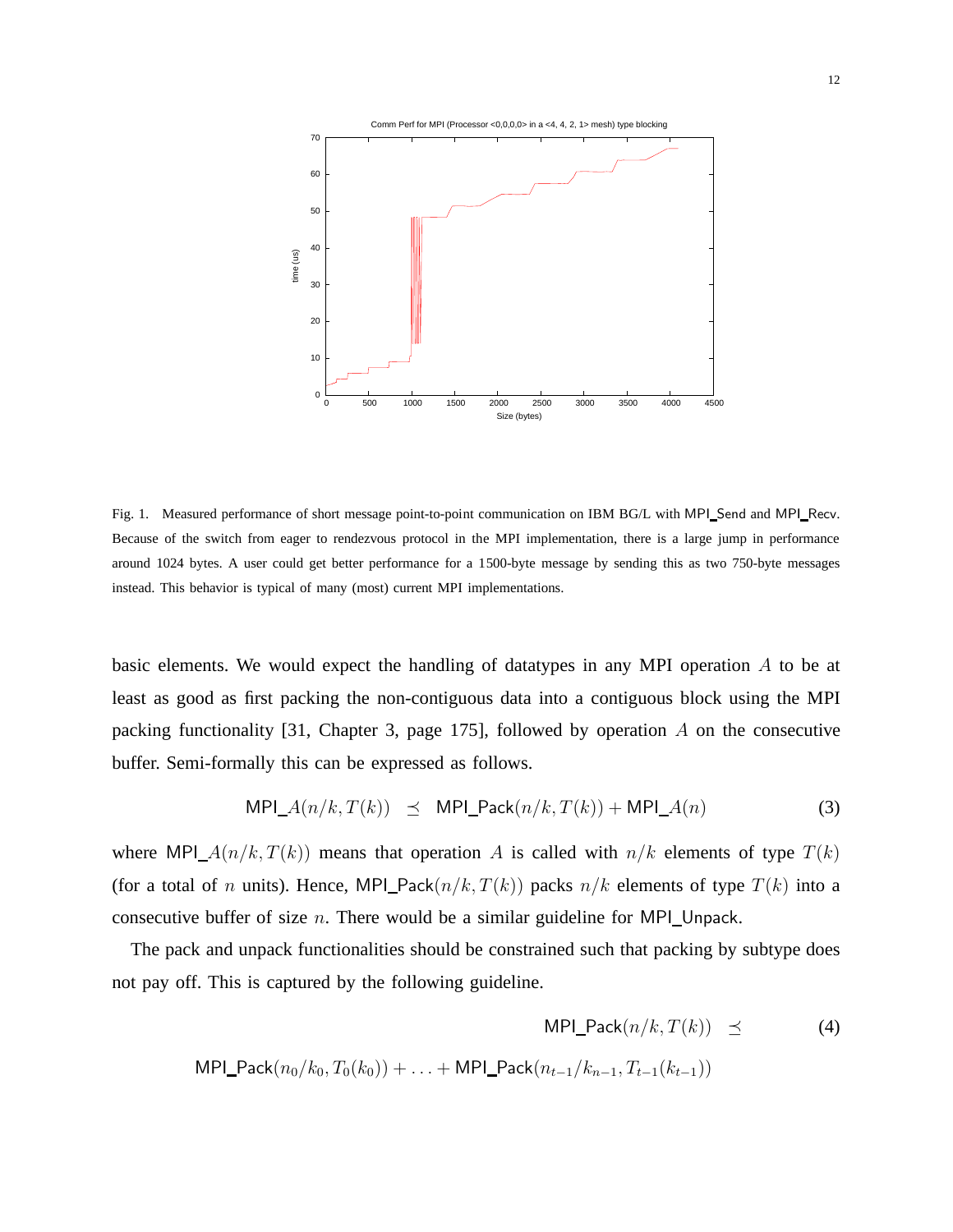

Fig. 1. Measured performance of short message point-to-point communication on IBM BG/L with MPI\_Send and MPI\_Recv. Because of the switch from eager to rendezvous protocol in the MPI implementation, there is a large jump in performance around 1024 bytes. A user could get better performance for a 1500-byte message by sending this as two 750-byte messages instead. This behavior is typical of many (most) current MPI implementations.

basic elements. We would expect the handling of datatypes in any MPI operation A to be at least as good as first packing the non-contiguous data into a contiguous block using the MPI packing functionality [31, Chapter 3, page 175], followed by operation A on the consecutive buffer. Semi-formally this can be expressed as follows.

$$
MPI\_A(n/k, T(k)) \preceq MPI\_Pack(n/k, T(k)) + MPI\_A(n)
$$
 (3)

where MPI  $A(n/k, T(k))$  means that operation A is called with  $n/k$  elements of type  $T(k)$ (for a total of n units). Hence, MPI\_Pack $(n/k, T(k))$  packs  $n/k$  elements of type  $T(k)$  into a consecutive buffer of size  $n$ . There would be a similar guideline for MPI\_Unpack.

The pack and unpack functionalities should be constrained such that packing by subtype does not pay off. This is captured by the following guideline.

$$
\text{MPI\_Pack}(n/k, T(k)) \preceq \qquad (4)
$$
\n
$$
\text{MPI\_Pack}(n_0/k_0, T_0(k_0)) + \ldots + \text{MPI\_Pack}(n_{t-1}/k_{n-1}, T_{t-1}(k_{t-1}))
$$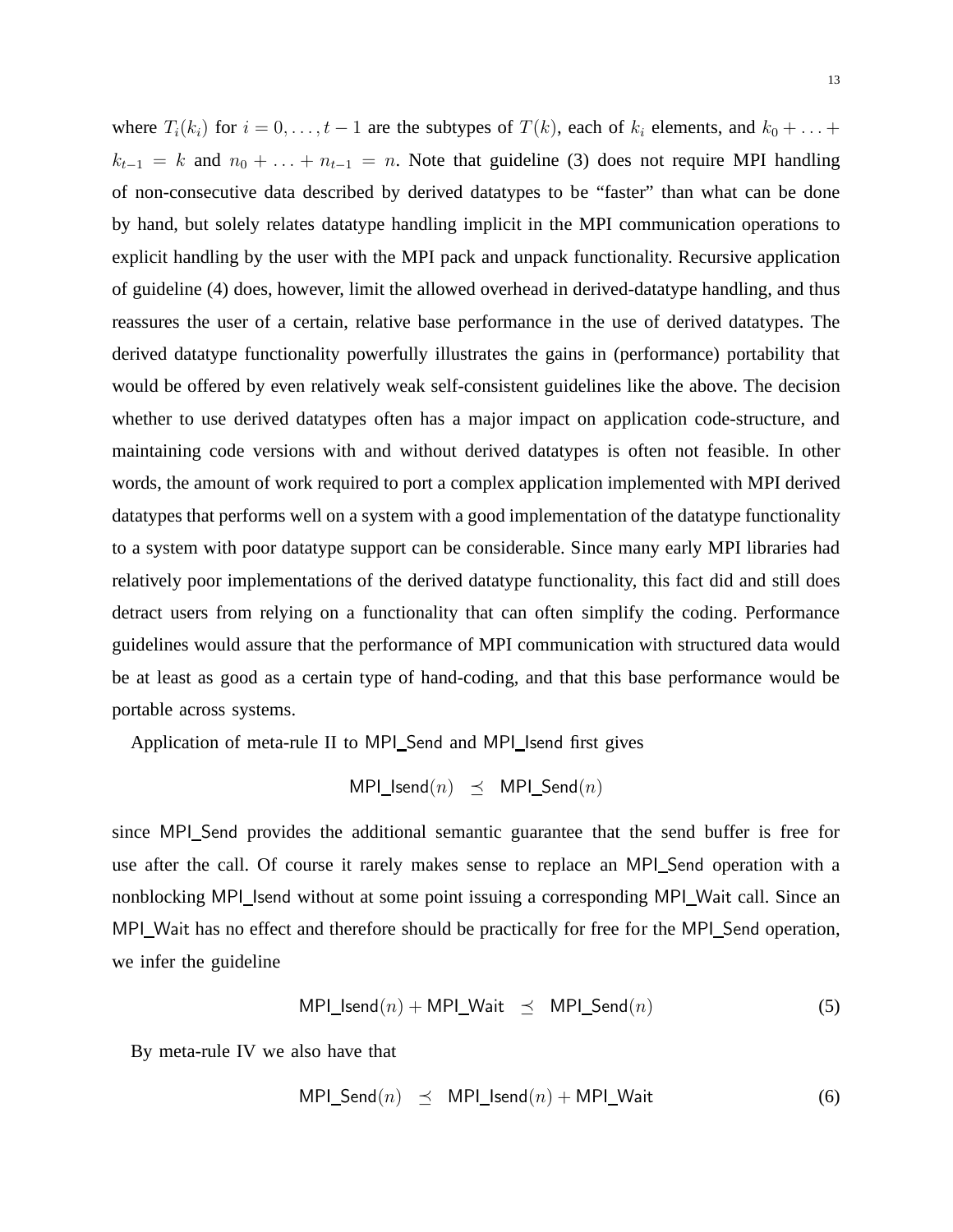where  $T_i(k_i)$  for  $i = 0, \ldots, t-1$  are the subtypes of  $T(k)$ , each of  $k_i$  elements, and  $k_0 + \ldots +$  $k_{t-1} = k$  and  $n_0 + \ldots + n_{t-1} = n$ . Note that guideline (3) does not require MPI handling of non-consecutive data described by derived datatypes to be "faster" than what can be done by hand, but solely relates datatype handling implicit in the MPI communication operations to explicit handling by the user with the MPI pack and unpack functionality. Recursive application of guideline (4) does, however, limit the allowed overhead in derived-datatype handling, and thus reassures the user of a certain, relative base performance in the use of derived datatypes. The derived datatype functionality powerfully illustrates the gains in (performance) portability that would be offered by even relatively weak self-consistent guidelines like the above. The decision whether to use derived datatypes often has a major impact on application code-structure, and maintaining code versions with and without derived datatypes is often not feasible. In other words, the amount of work required to port a complex application implemented with MPI derived datatypes that performs well on a system with a good implementation of the datatype functionality to a system with poor datatype support can be considerable. Since many early MPI libraries had relatively poor implementations of the derived datatype functionality, this fact did and still does detract users from relying on a functionality that can often simplify the coding. Performance guidelines would assure that the performance of MPI communication with structured data would be at least as good as a certain type of hand-coding, and that this base performance would be portable across systems.

Application of meta-rule II to MPI\_Send and MPI\_Isend first gives

$$
\mathsf{MPI\_Isend}(n) \preceq \mathsf{MPI\_Send}(n)
$$

since MPI Send provides the additional semantic guarantee that the send buffer is free for use after the call. Of course it rarely makes sense to replace an MPI Send operation with a nonblocking MPI\_Isend without at some point issuing a corresponding MPI\_Wait call. Since an MPI\_Wait has no effect and therefore should be practically for free for the MPI\_Send operation, we infer the guideline

$$
MPI\_Isend(n) + MPI\_Wait \preceq MPI\_Send(n)
$$
 (5)

By meta-rule IV we also have that

$$
MPI\_Send(n) \preceq MPI\_Isend(n) + MPI\_Wait
$$
 (6)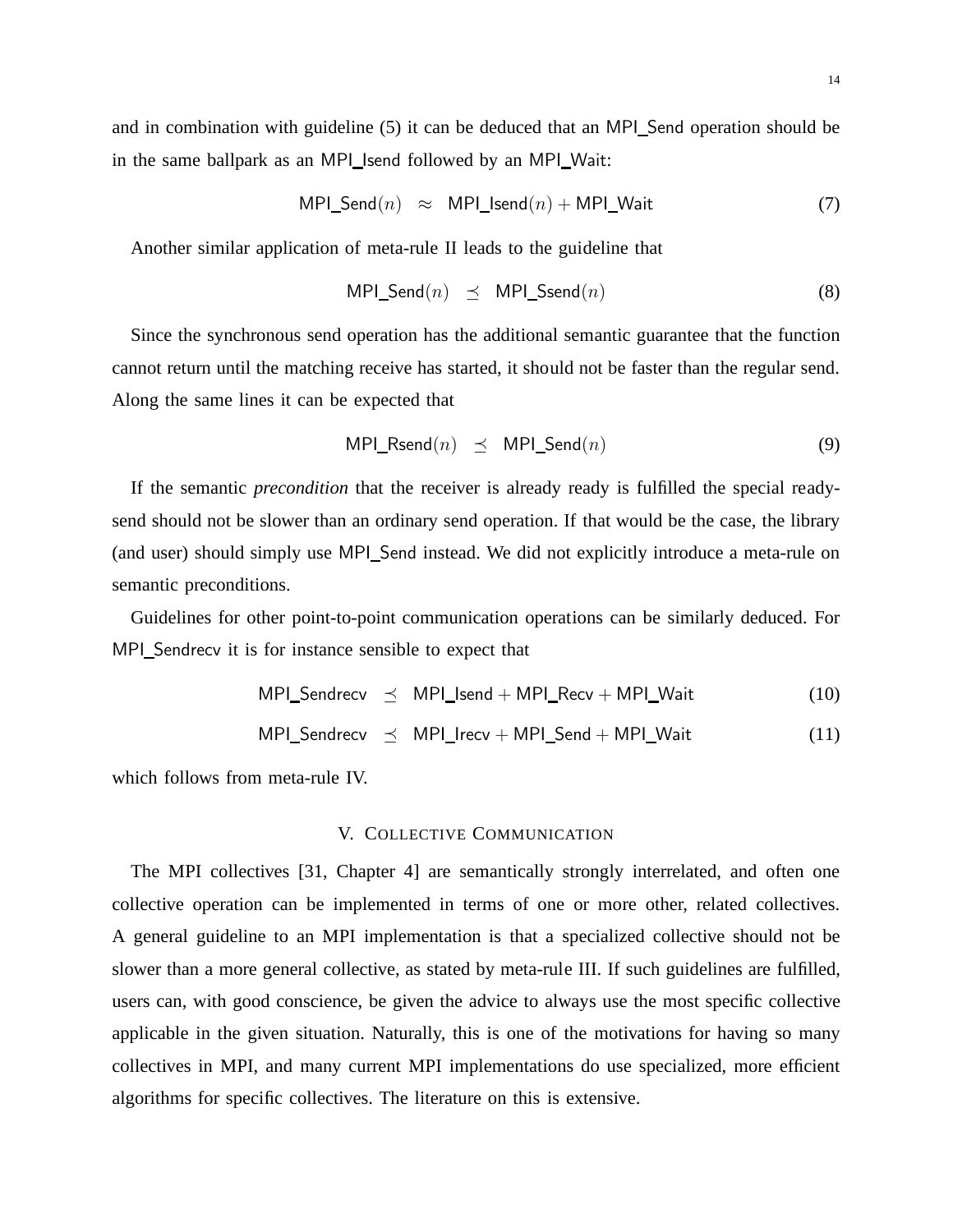and in combination with guideline (5) it can be deduced that an MPI\_Send operation should be in the same ballpark as an MPI Isend followed by an MPI Wait:

$$
MPI\_Send(n) \approx MPI\_Isend(n) + MPI\_Wait \qquad (7)
$$

Another similar application of meta-rule II leads to the guideline that

$$
MPI\_Send(n) \preceq MPI\_Send(n) \tag{8}
$$

Since the synchronous send operation has the additional semantic guarantee that the function cannot return until the matching receive has started, it should not be faster than the regular send. Along the same lines it can be expected that

$$
MPI\_Rsend(n) \preceq MPI\_Send(n) \tag{9}
$$

If the semantic *precondition* that the receiver is already ready is fulfilled the special readysend should not be slower than an ordinary send operation. If that would be the case, the library (and user) should simply use MPI\_Send instead. We did not explicitly introduce a meta-rule on semantic preconditions.

Guidelines for other point-to-point communication operations can be similarly deduced. For MPI\_Sendrecv it is for instance sensible to expect that

$$
MPI\_Sender \leq \text{MPI\_Isend} + MPI\_Recv + MPI\_Wait \qquad (10)
$$

$$
MPI\_Sendercv \preceq \text{MPI\_lrecv} + MPI\_Send + MPI\_Wait \tag{11}
$$

which follows from meta-rule IV.

## V. COLLECTIVE COMMUNICATION

The MPI collectives [31, Chapter 4] are semantically strongly interrelated, and often one collective operation can be implemented in terms of one or more other, related collectives. A general guideline to an MPI implementation is that a specialized collective should not be slower than a more general collective, as stated by meta-rule III. If such guidelines are fulfilled, users can, with good conscience, be given the advice to always use the most specific collective applicable in the given situation. Naturally, this is one of the motivations for having so many collectives in MPI, and many current MPI implementations do use specialized, more efficient algorithms for specific collectives. The literature on this is extensive.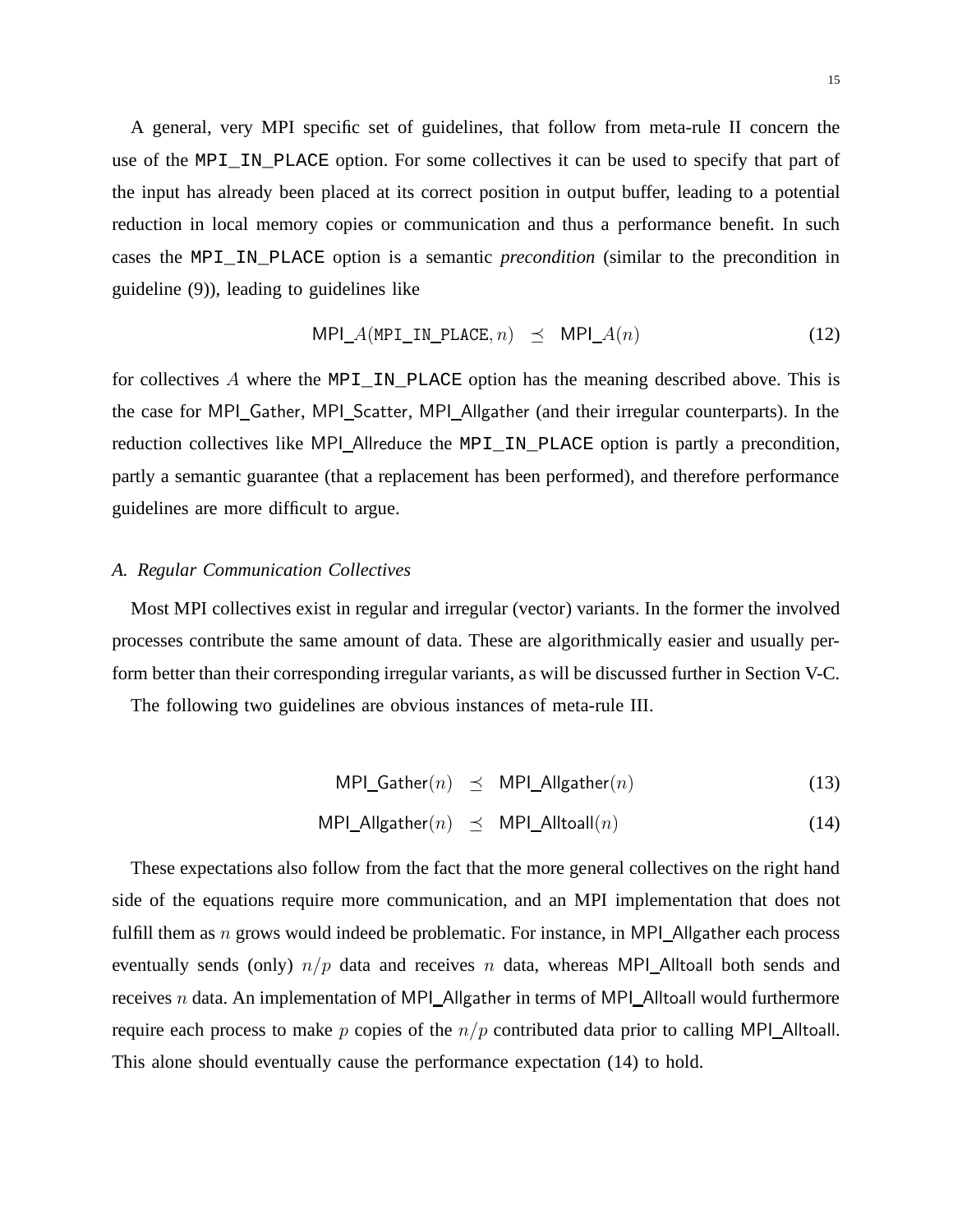A general, very MPI specific set of guidelines, that follow from meta-rule II concern the use of the MPI\_IN\_PLACE option. For some collectives it can be used to specify that part of the input has already been placed at its correct position in output buffer, leading to a potential reduction in local memory copies or communication and thus a performance benefit. In such cases the MPI\_IN\_PLACE option is a semantic *precondition* (similar to the precondition in guideline (9)), leading to guidelines like

$$
MPI\_A(MPI\_IN\_PLACE, n) \preceq MPI\_A(n) \tag{12}
$$

for collectives A where the MPI\_IN\_PLACE option has the meaning described above. This is the case for MPI Gather, MPI Scatter, MPI Allgather (and their irregular counterparts). In the reduction collectives like MPI Allreduce the MPI\_IN\_PLACE option is partly a precondition, partly a semantic guarantee (that a replacement has been performed), and therefore performance guidelines are more difficult to argue.

#### *A. Regular Communication Collectives*

Most MPI collectives exist in regular and irregular (vector) variants. In the former the involved processes contribute the same amount of data. These are algorithmically easier and usually perform better than their corresponding irregular variants, as will be discussed further in Section V-C.

The following two guidelines are obvious instances of meta-rule III.

$$
MPI\_Gather(n) \preceq MPI\_Allgather(n) \tag{13}
$$

$$
MPI\_Allgather(n) \preceq MPI\_Alltoall(n) \tag{14}
$$

These expectations also follow from the fact that the more general collectives on the right hand side of the equations require more communication, and an MPI implementation that does not fulfill them as  $n$  grows would indeed be problematic. For instance, in MPI Allgather each process eventually sends (only)  $n/p$  data and receives n data, whereas MPI\_Alltoall both sends and receives  $n$  data. An implementation of MPI\_Allgather in terms of MPI\_Alltoall would furthermore require each process to make  $p$  copies of the  $n/p$  contributed data prior to calling MPI\_Alltoall. This alone should eventually cause the performance expectation (14) to hold.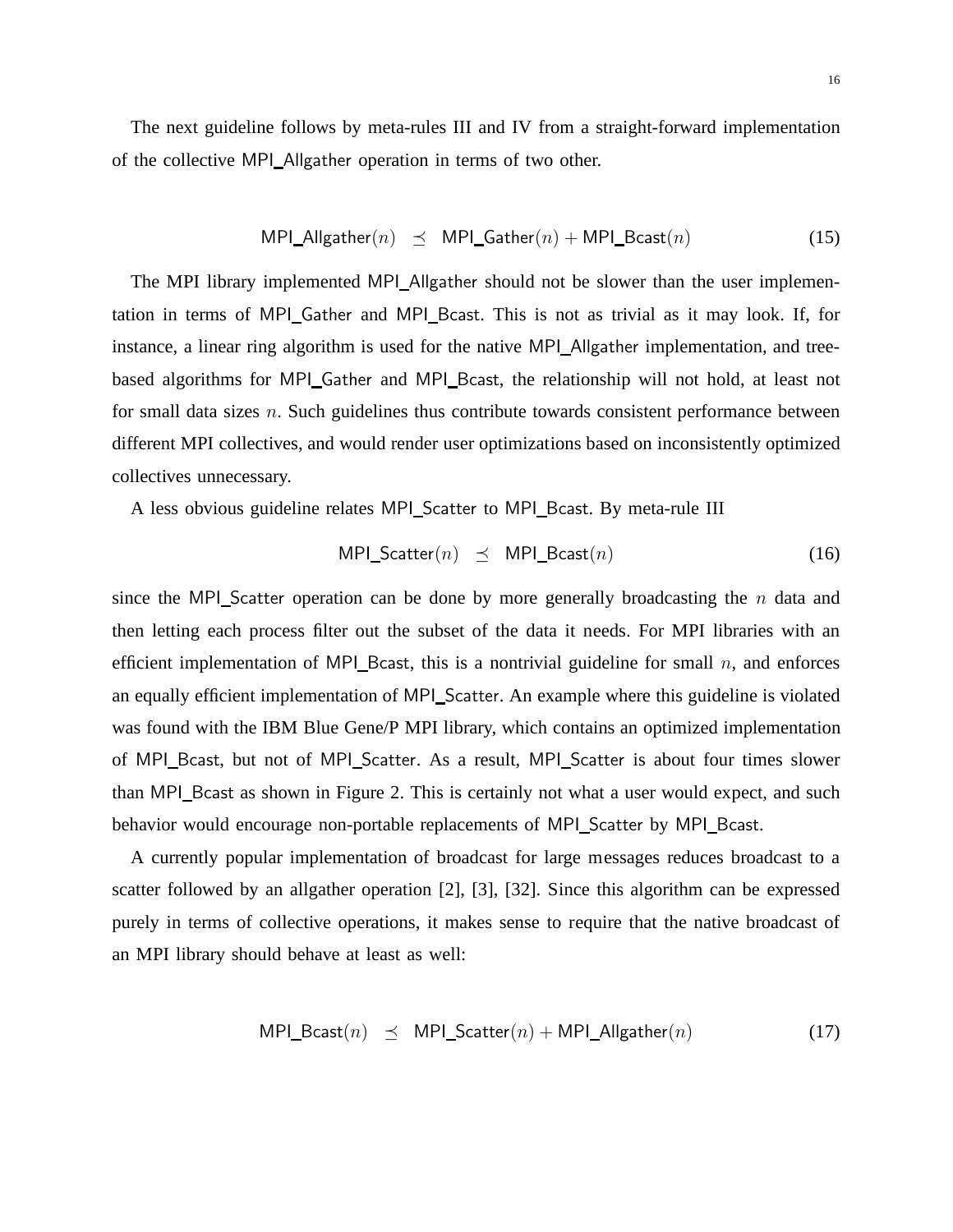The next guideline follows by meta-rules III and IV from a straight-forward implementation of the collective MPI Allgather operation in terms of two other.

$$
MPI\_Allgather(n) \preceq MPI\_Gather(n) + MPI\_Bcast(n) \tag{15}
$$

The MPI library implemented MPI\_Allgather should not be slower than the user implementation in terms of MPI Gather and MPI Bcast. This is not as trivial as it may look. If, for instance, a linear ring algorithm is used for the native MPI Allgather implementation, and treebased algorithms for MPI Gather and MPI Bcast, the relationship will not hold, at least not for small data sizes n. Such guidelines thus contribute towards consistent performance between different MPI collectives, and would render user optimizations based on inconsistently optimized collectives unnecessary.

A less obvious guideline relates MPI\_Scatter to MPI\_Bcast. By meta-rule III

$$
MPI\_Scatter(n) \preceq MPI\_Bcast(n) \tag{16}
$$

since the MPI Scatter operation can be done by more generally broadcasting the  $n$  data and then letting each process filter out the subset of the data it needs. For MPI libraries with an efficient implementation of MPI Bcast, this is a nontrivial guideline for small  $n$ , and enforces an equally efficient implementation of MPI\_Scatter. An example where this guideline is violated was found with the IBM Blue Gene/P MPI library, which contains an optimized implementation of MPI\_Bcast, but not of MPI\_Scatter. As a result, MPI\_Scatter is about four times slower than MPI Bcast as shown in Figure 2. This is certainly not what a user would expect, and such behavior would encourage non-portable replacements of MPI\_Scatter by MPI\_Bcast.

A currently popular implementation of broadcast for large messages reduces broadcast to a scatter followed by an allgather operation [2], [3], [32]. Since this algorithm can be expressed purely in terms of collective operations, it makes sense to require that the native broadcast of an MPI library should behave at least as well:

$$
MPI\_Bcast(n) \preceq MPI\_Scatter(n) + MPI\_Allgather(n) \tag{17}
$$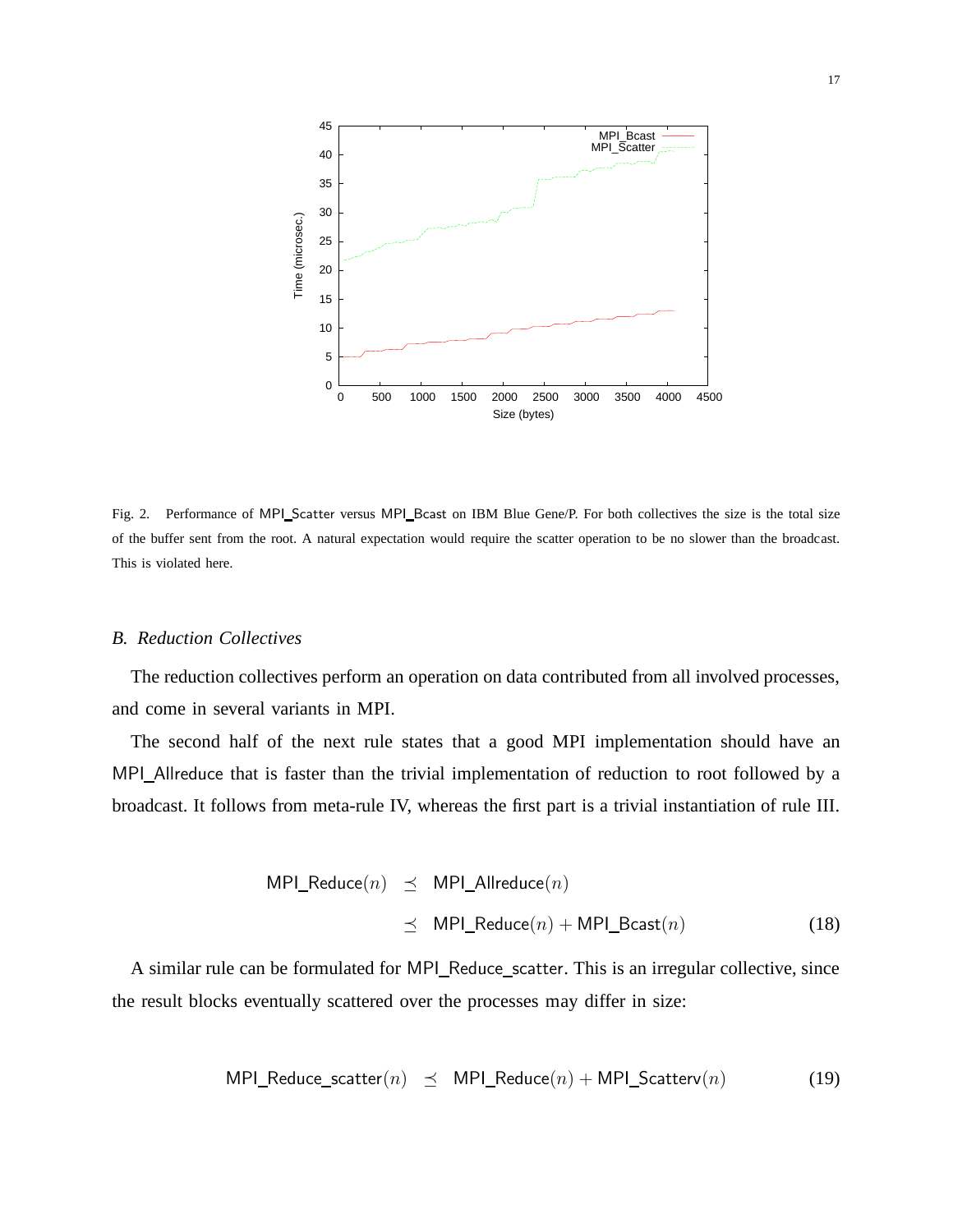

Fig. 2. Performance of MPI\_Scatter versus MPI\_Bcast on IBM Blue Gene/P. For both collectives the size is the total size of the buffer sent from the root. A natural expectation would require the scatter operation to be no slower than the broadcast. This is violated here.

## *B. Reduction Collectives*

The reduction collectives perform an operation on data contributed from all involved processes, and come in several variants in MPI.

The second half of the next rule states that a good MPI implementation should have an MPI\_Allreduce that is faster than the trivial implementation of reduction to root followed by a broadcast. It follows from meta-rule IV, whereas the first part is a trivial instantiation of rule III.

$$
\begin{array}{rcl}\n\text{MPI\_Reduce}(n) & \preceq & \text{MPI\_Allreduce}(n) \\
& \preceq & \text{MPI\_Reduce}(n) + \text{MPI\_Back}(n)\n\end{array} \tag{18}
$$

A similar rule can be formulated for MPI\_Reduce\_scatter. This is an irregular collective, since the result blocks eventually scattered over the processes may differ in size:

$$
\text{MPI\_Reduce\_scatter}(n) \preceq \text{ MPI\_Reduce}(n) + \text{MPI\_Scatter}(n) \tag{19}
$$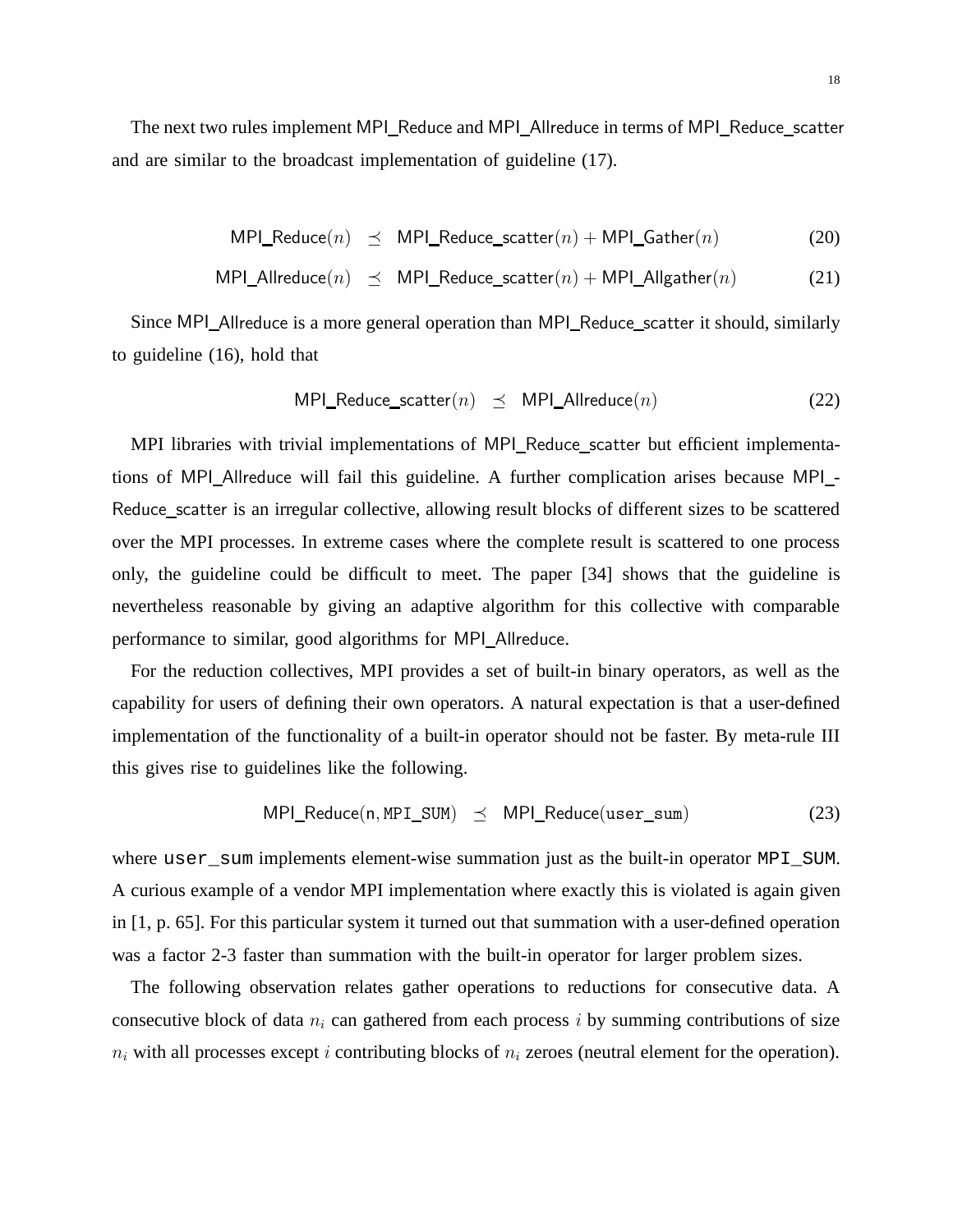The next two rules implement MPI\_Reduce and MPI\_Allreduce in terms of MPI\_Reduce\_scatter and are similar to the broadcast implementation of guideline (17).

$$
MPI\_Reduce(n) \preceq MPI\_Reduce\_scatter(n) + MPI\_Gather(n) \tag{20}
$$

$$
\textsf{MPI\_Allreduce}(n) \preceq \textsf{MPI\_Reduce\_scatter}(n) + \textsf{MPI\_Allgather}(n) \tag{21}
$$

Since MPI\_Allreduce is a more general operation than MPI\_Reduce\_scatter it should, similarly to guideline (16), hold that

$$
MPI\_Reduce\_scatter(n) \preceq MPI\_Allreduce(n) \tag{22}
$$

MPI libraries with trivial implementations of MPI\_Reduce\_scatter but efficient implementations of MPI Allreduce will fail this guideline. A further complication arises because MPI -Reduce scatter is an irregular collective, allowing result blocks of different sizes to be scattered over the MPI processes. In extreme cases where the complete result is scattered to one process only, the guideline could be difficult to meet. The paper [34] shows that the guideline is nevertheless reasonable by giving an adaptive algorithm for this collective with comparable performance to similar, good algorithms for MPI\_Allreduce.

For the reduction collectives, MPI provides a set of built-in binary operators, as well as the capability for users of defining their own operators. A natural expectation is that a user-defined implementation of the functionality of a built-in operator should not be faster. By meta-rule III this gives rise to guidelines like the following.

$$
MPI\_Reduce(n, MPI\_SUM) \preceq \quad MPI\_Reduce(user\_sum) \tag{23}
$$

where user\_sum implements element-wise summation just as the built-in operator MPI\_SUM. A curious example of a vendor MPI implementation where exactly this is violated is again given in [1, p. 65]. For this particular system it turned out that summation with a user-defined operation was a factor 2-3 faster than summation with the built-in operator for larger problem sizes.

The following observation relates gather operations to reductions for consecutive data. A consecutive block of data  $n_i$  can gathered from each process i by summing contributions of size  $n_i$  with all processes except i contributing blocks of  $n_i$  zeroes (neutral element for the operation).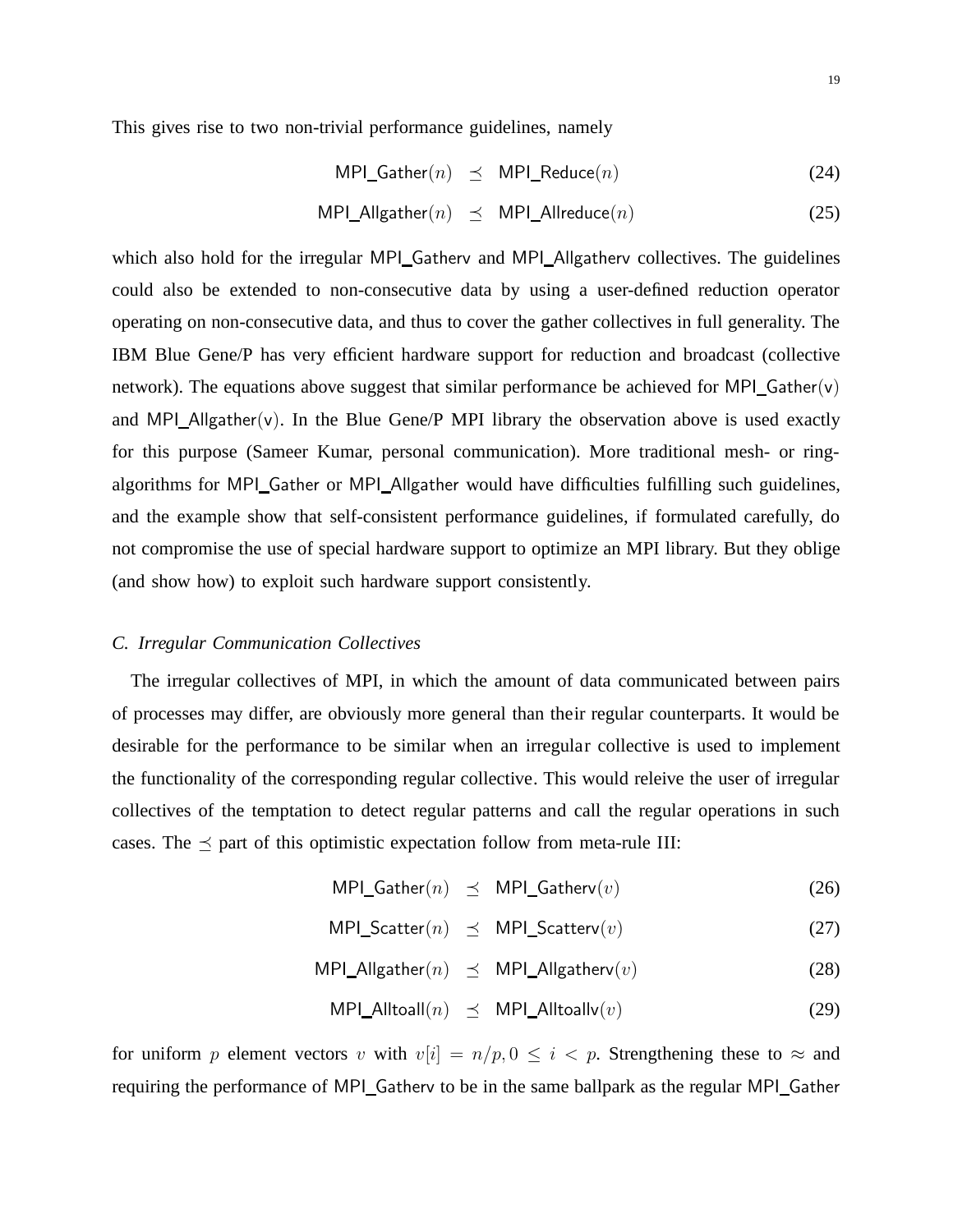This gives rise to two non-trivial performance guidelines, namely

$$
MPI\_Gather(n) \preceq MPI\_Reduce(n) \tag{24}
$$

$$
MPI\_Allgather(n) \preceq MPI\_Allreduce(n) \tag{25}
$$

which also hold for the irregular MPI\_Gatherv and MPI\_Allgatherv collectives. The guidelines could also be extended to non-consecutive data by using a user-defined reduction operator operating on non-consecutive data, and thus to cover the gather collectives in full generality. The IBM Blue Gene/P has very efficient hardware support for reduction and broadcast (collective network). The equations above suggest that similar performance be achieved for MPI\_Gather(v) and MPI Allgather(v). In the Blue Gene/P MPI library the observation above is used exactly for this purpose (Sameer Kumar, personal communication). More traditional mesh- or ringalgorithms for MPI\_Gather or MPI\_Allgather would have difficulties fulfilling such guidelines, and the example show that self-consistent performance guidelines, if formulated carefully, do not compromise the use of special hardware support to optimize an MPI library. But they oblige (and show how) to exploit such hardware support consistently.

#### *C. Irregular Communication Collectives*

The irregular collectives of MPI, in which the amount of data communicated between pairs of processes may differ, are obviously more general than their regular counterparts. It would be desirable for the performance to be similar when an irregular collective is used to implement the functionality of the corresponding regular collective. This would releive the user of irregular collectives of the temptation to detect regular patterns and call the regular operations in such cases. The  $\preceq$  part of this optimistic expectation follow from meta-rule III:

$$
MPI_Gather(n) \preceq MPI_Gather(v) \tag{26}
$$

$$
\text{MPI\_Scatter}(n) \preceq \text{MPI\_Scatter}(v) \tag{27}
$$

$$
MPI\_Allgather(n) \preceq MPI\_Allgather(v) \tag{28}
$$

$$
MPI\_Alltoall(n) \le MPI\_Alltoallv(v)
$$
 (29)

for uniform p element vectors v with  $v[i] = n/p, 0 \le i < p$ . Strengthening these to  $\approx$  and requiring the performance of MPI\_Gatherv to be in the same ballpark as the regular MPI\_Gather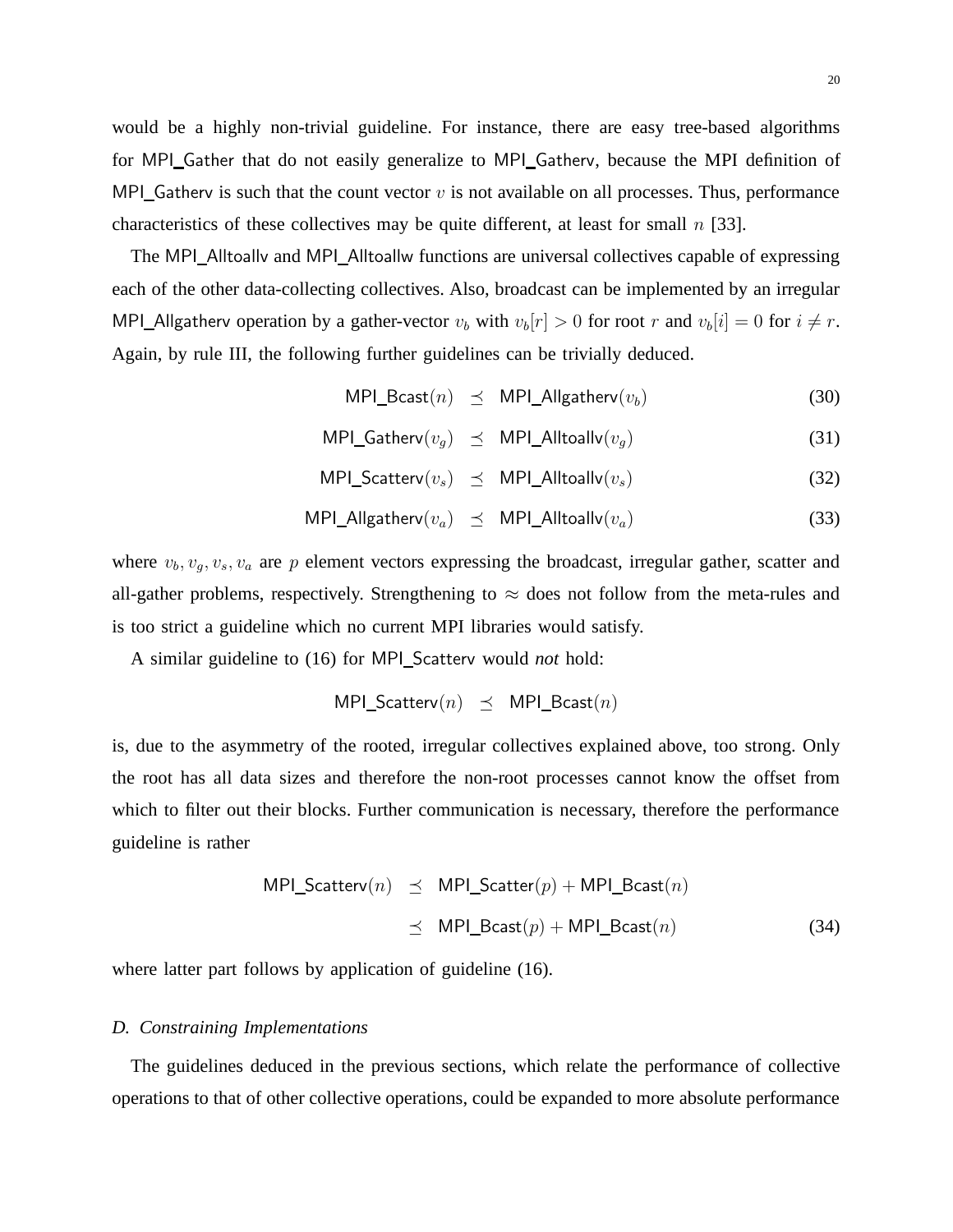would be a highly non-trivial guideline. For instance, there are easy tree-based algorithms for MPI Gather that do not easily generalize to MPI Gatherv, because the MPI definition of MPI Gatherv is such that the count vector  $v$  is not available on all processes. Thus, performance characteristics of these collectives may be quite different, at least for small  $n$  [33].

The MPI\_Alltoally and MPI\_Alltoallw functions are universal collectives capable of expressing each of the other data-collecting collectives. Also, broadcast can be implemented by an irregular MPI\_Allgatherv operation by a gather-vector  $v_b$  with  $v_b[r] > 0$  for root r and  $v_b[i] = 0$  for  $i \neq r$ . Again, by rule III, the following further guidelines can be trivially deduced.

$$
MPI\_Bcast(n) \preceq MPI\_Allgather(v_b) \tag{30}
$$

$$
\text{MPI\_Gatherv}(v_g) \preceq \text{MPI\_Alltoallv}(v_g) \tag{31}
$$

$$
MPI\_Scatterv(v_s) \preceq MPI\_Alltoally(v_s)
$$
\n(32)

$$
MPI\_Allgather(v_a) \leq MPI\_Alltoally(v_a)
$$
\n(33)

where  $v_b, v_g, v_s, v_a$  are p element vectors expressing the broadcast, irregular gather, scatter and all-gather problems, respectively. Strengthening to  $\approx$  does not follow from the meta-rules and is too strict a guideline which no current MPI libraries would satisfy.

A similar guideline to (16) for MPI Scatterv would *not* hold:

$$
\mathsf{MPI\_Scatterv}(n) \preceq \mathsf{MPI\_Bcast}(n)
$$

is, due to the asymmetry of the rooted, irregular collectives explained above, too strong. Only the root has all data sizes and therefore the non-root processes cannot know the offset from which to filter out their blocks. Further communication is necessary, therefore the performance guideline is rather

$$
MPI\_Scatter(n) \preceq MPI\_Scatter(p) + MPI\_Bcast(n)
$$
  

$$
\preceq MPI\_Bcast(p) + MPI\_Bcast(n)
$$
 (34)

where latter part follows by application of guideline (16).

## *D. Constraining Implementations*

The guidelines deduced in the previous sections, which relate the performance of collective operations to that of other collective operations, could be expanded to more absolute performance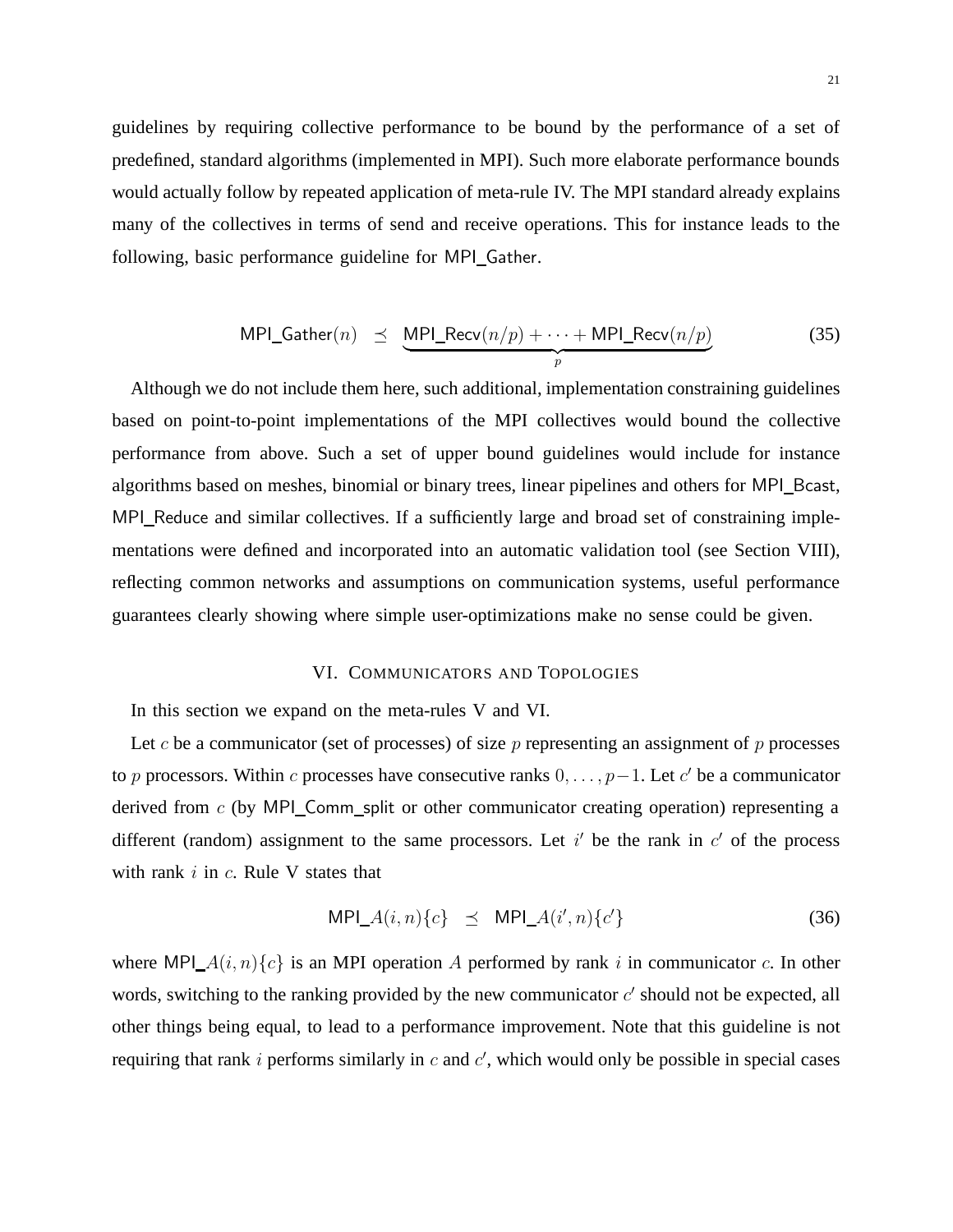guidelines by requiring collective performance to be bound by the performance of a set of predefined, standard algorithms (implemented in MPI). Such more elaborate performance bounds would actually follow by repeated application of meta-rule IV. The MPI standard already explains many of the collectives in terms of send and receive operations. This for instance leads to the following, basic performance guideline for MPI\_Gather.

$$
MPI\_Gather(n) \leq \underbrace{MPI\_Rev(n/p) + \cdots + MPI\_Rev(n/p)}_{p}
$$
 (35)

Although we do not include them here, such additional, implementation constraining guidelines based on point-to-point implementations of the MPI collectives would bound the collective performance from above. Such a set of upper bound guidelines would include for instance algorithms based on meshes, binomial or binary trees, linear pipelines and others for MPI Bcast, MPI\_Reduce and similar collectives. If a sufficiently large and broad set of constraining implementations were defined and incorporated into an automatic validation tool (see Section VIII), reflecting common networks and assumptions on communication systems, useful performance guarantees clearly showing where simple user-optimizations make no sense could be given.

## VI. COMMUNICATORS AND TOPOLOGIES

In this section we expand on the meta-rules V and VI.

Let c be a communicator (set of processes) of size  $p$  representing an assignment of  $p$  processes to p processors. Within c processes have consecutive ranks  $0, \ldots, p-1$ . Let c' be a communicator derived from  $c$  (by MPI Comm split or other communicator creating operation) representing a different (random) assignment to the same processors. Let  $i'$  be the rank in  $c'$  of the process with rank  $i$  in  $c$ . Rule V states that

$$
MPI\_A(i, n) \{c\} \preceq MPI\_A(i', n) \{c'\}
$$
\n(36)

where MPI  $A(i, n)$  {c} is an MPI operation A performed by rank i in communicator c. In other words, switching to the ranking provided by the new communicator  $c'$  should not be expected, all other things being equal, to lead to a performance improvement. Note that this guideline is not requiring that rank i performs similarly in c and  $c'$ , which would only be possible in special cases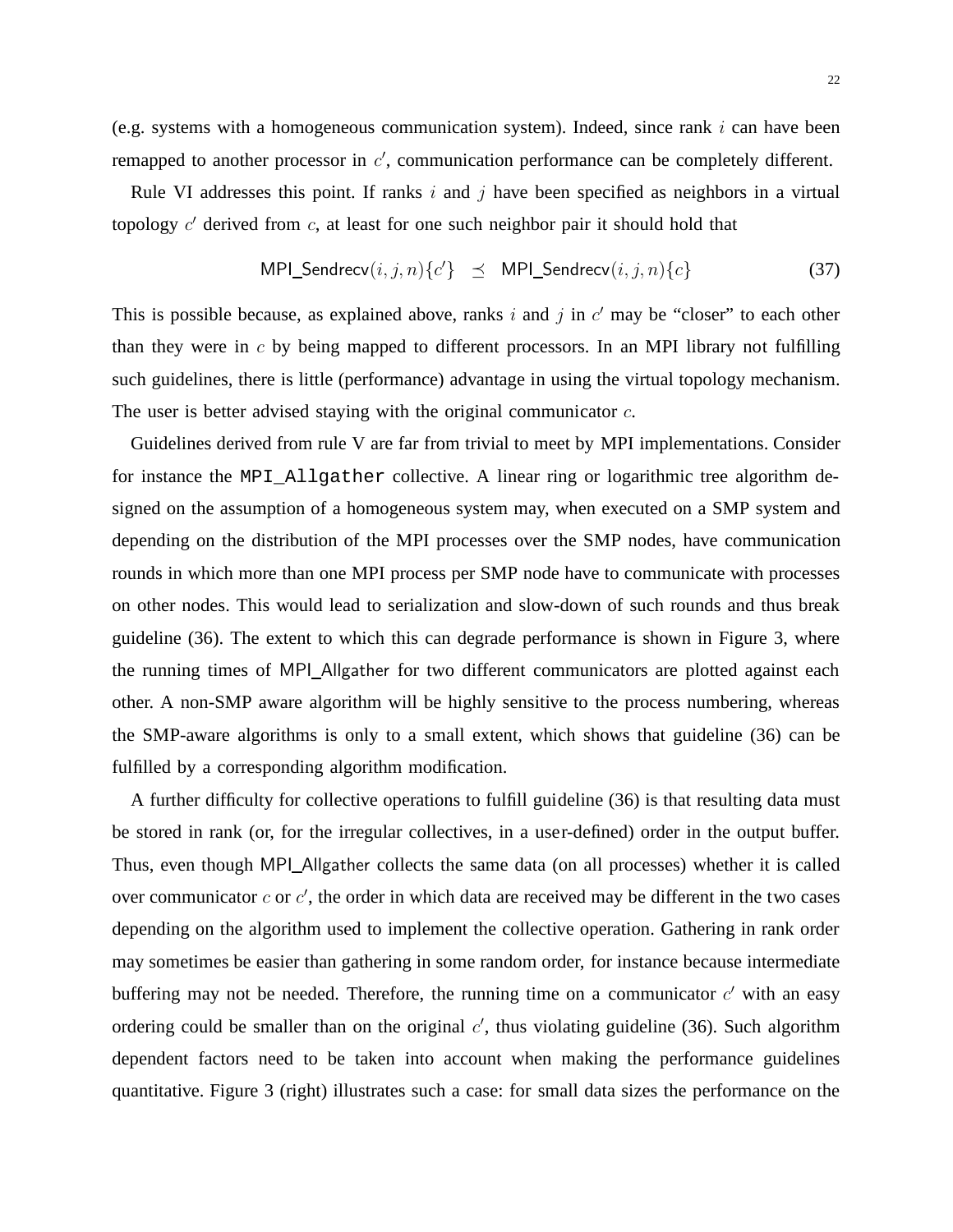(e.g. systems with a homogeneous communication system). Indeed, since rank  $i$  can have been remapped to another processor in  $c'$ , communication performance can be completely different.

Rule VI addresses this point. If ranks  $i$  and  $j$  have been specified as neighbors in a virtual topology  $c'$  derived from  $c$ , at least for one such neighbor pair it should hold that

$$
\text{MPI\_Senderov}(i, j, n) \{c'\} \preceq \text{MPI\_Senderov}(i, j, n) \{c\} \tag{37}
$$

This is possible because, as explained above, ranks i and j in  $c'$  may be "closer" to each other than they were in  $c$  by being mapped to different processors. In an MPI library not fulfilling such guidelines, there is little (performance) advantage in using the virtual topology mechanism. The user is better advised staying with the original communicator  $c$ .

Guidelines derived from rule V are far from trivial to meet by MPI implementations. Consider for instance the MPI\_Allgather collective. A linear ring or logarithmic tree algorithm designed on the assumption of a homogeneous system may, when executed on a SMP system and depending on the distribution of the MPI processes over the SMP nodes, have communication rounds in which more than one MPI process per SMP node have to communicate with processes on other nodes. This would lead to serialization and slow-down of such rounds and thus break guideline (36). The extent to which this can degrade performance is shown in Figure 3, where the running times of MPI Allgather for two different communicators are plotted against each other. A non-SMP aware algorithm will be highly sensitive to the process numbering, whereas the SMP-aware algorithms is only to a small extent, which shows that guideline (36) can be fulfilled by a corresponding algorithm modification.

A further difficulty for collective operations to fulfill guideline (36) is that resulting data must be stored in rank (or, for the irregular collectives, in a user-defined) order in the output buffer. Thus, even though MPI\_Allgather collects the same data (on all processes) whether it is called over communicator  $c$  or  $c'$ , the order in which data are received may be different in the two cases depending on the algorithm used to implement the collective operation. Gathering in rank order may sometimes be easier than gathering in some random order, for instance because intermediate buffering may not be needed. Therefore, the running time on a communicator  $c'$  with an easy ordering could be smaller than on the original  $c'$ , thus violating guideline (36). Such algorithm dependent factors need to be taken into account when making the performance guidelines quantitative. Figure 3 (right) illustrates such a case: for small data sizes the performance on the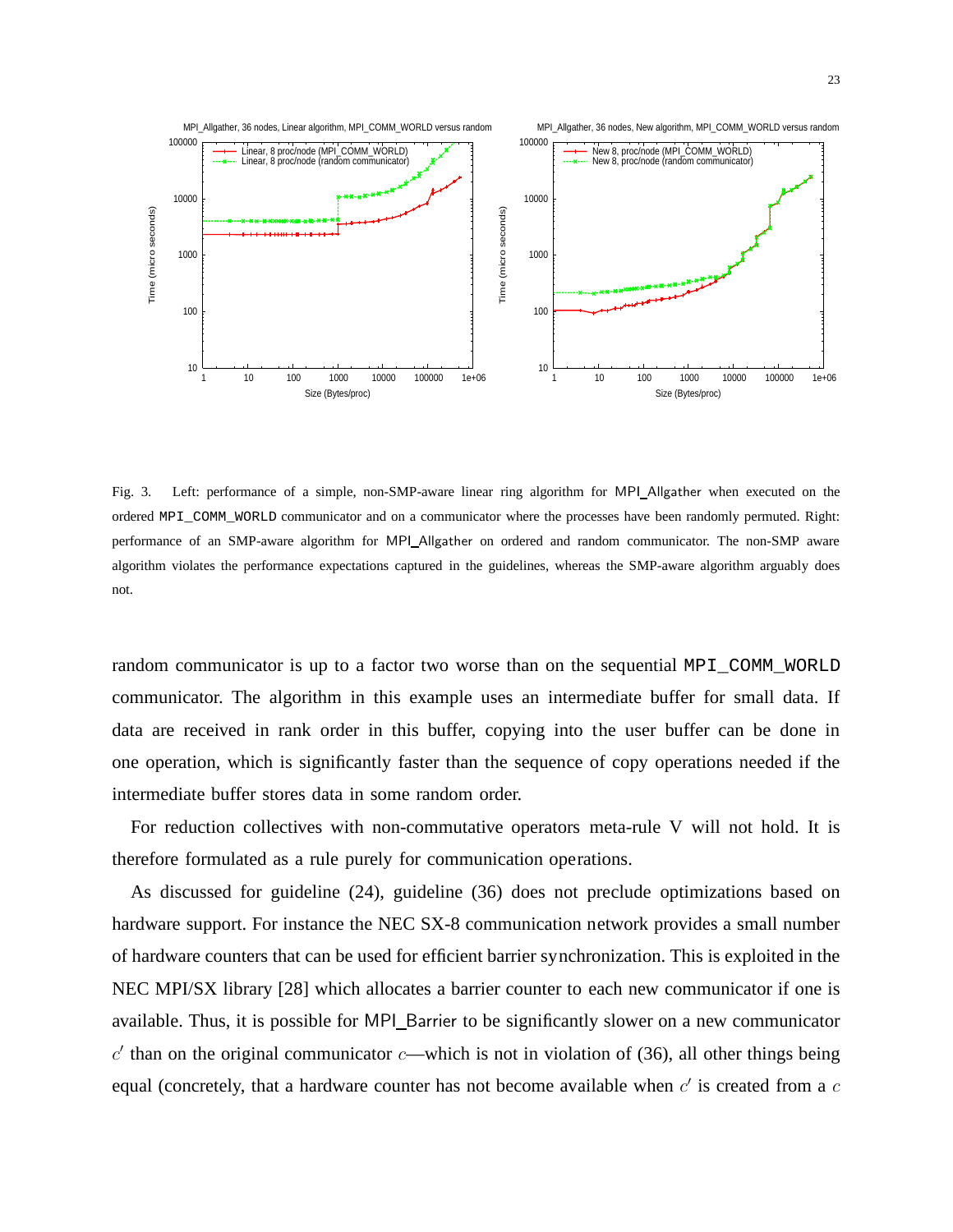

Fig. 3. Left: performance of a simple, non-SMP-aware linear ring algorithm for MPI Allgather when executed on the ordered MPI\_COMM\_WORLD communicator and on a communicator where the processes have been randomly permuted. Right: performance of an SMP-aware algorithm for MPI Allgather on ordered and random communicator. The non-SMP aware algorithm violates the performance expectations captured in the guidelines, whereas the SMP-aware algorithm arguably does not.

random communicator is up to a factor two worse than on the sequential MPI\_COMM\_WORLD communicator. The algorithm in this example uses an intermediate buffer for small data. If data are received in rank order in this buffer, copying into the user buffer can be done in one operation, which is significantly faster than the sequence of copy operations needed if the intermediate buffer stores data in some random order.

For reduction collectives with non-commutative operators meta-rule V will not hold. It is therefore formulated as a rule purely for communication operations.

As discussed for guideline (24), guideline (36) does not preclude optimizations based on hardware support. For instance the NEC SX-8 communication network provides a small number of hardware counters that can be used for efficient barrier synchronization. This is exploited in the NEC MPI/SX library [28] which allocates a barrier counter to each new communicator if one is available. Thus, it is possible for MPI\_Barrier to be significantly slower on a new communicator  $c'$  than on the original communicator  $c$ —which is not in violation of (36), all other things being equal (concretely, that a hardware counter has not become available when  $c'$  is created from a  $c$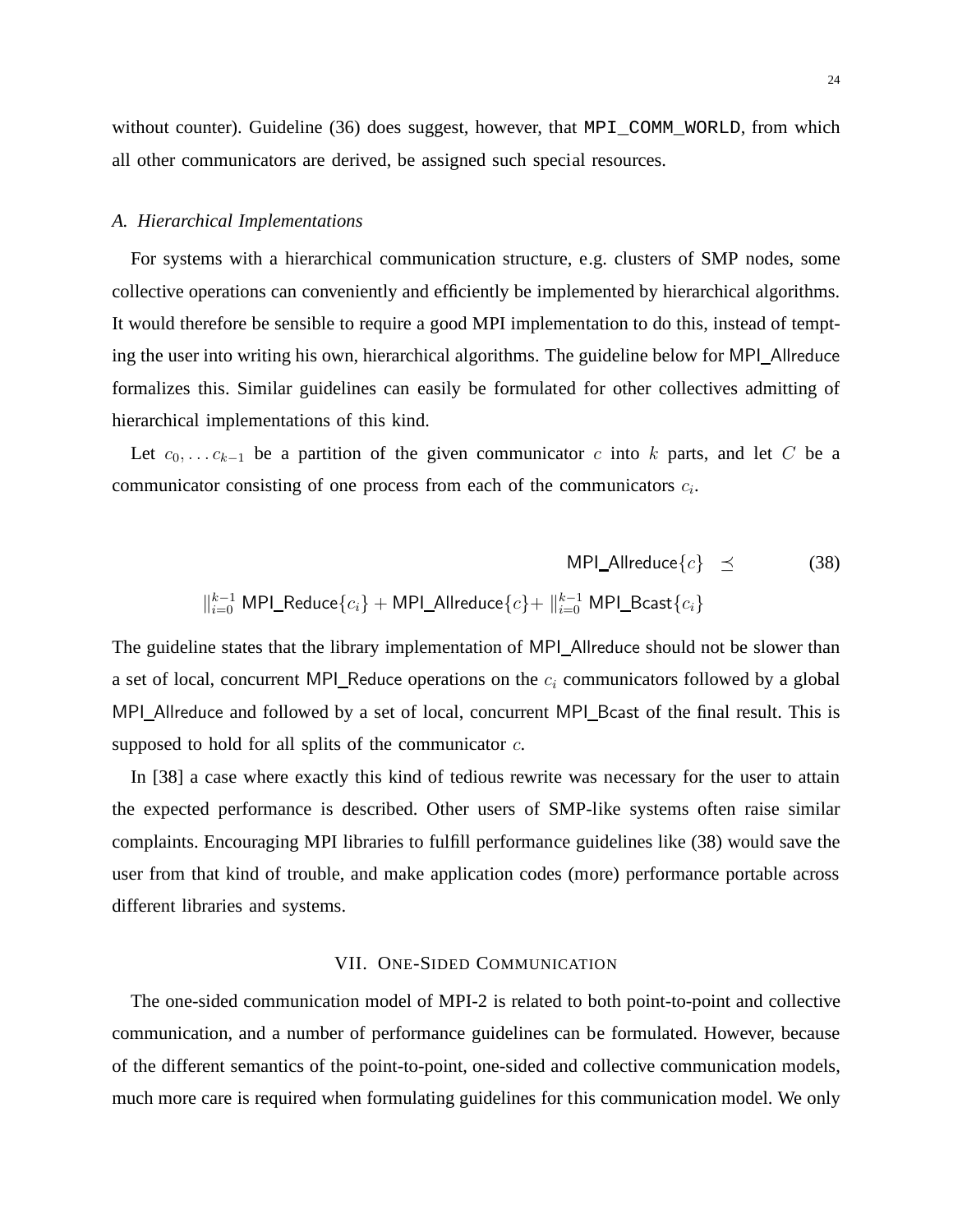without counter). Guideline (36) does suggest, however, that MPI\_COMM\_WORLD, from which all other communicators are derived, be assigned such special resources.

#### *A. Hierarchical Implementations*

For systems with a hierarchical communication structure, e.g. clusters of SMP nodes, some collective operations can conveniently and efficiently be implemented by hierarchical algorithms. It would therefore be sensible to require a good MPI implementation to do this, instead of tempting the user into writing his own, hierarchical algorithms. The guideline below for MPI Allreduce formalizes this. Similar guidelines can easily be formulated for other collectives admitting of hierarchical implementations of this kind.

Let  $c_0, \ldots c_{k-1}$  be a partition of the given communicator c into k parts, and let C be a communicator consisting of one process from each of the communicators  $c_i$ .

$$
\text{MPI\_Allreduce}\{c\} \quad \preceq \tag{38}
$$
\n
$$
\|_{i=0}^{k-1} \text{ MPI\_Reduce}\{c_i\} + \text{MPI\_Allreduce}\{c\} + \|_{i=0}^{k-1} \text{ MPI\_Back}\{c_i\}
$$

The guideline states that the library implementation of MPI\_Allreduce should not be slower than a set of local, concurrent MPI\_Reduce operations on the  $c_i$  communicators followed by a global MPI\_Allreduce and followed by a set of local, concurrent MPI\_Bcast of the final result. This is supposed to hold for all splits of the communicator  $c$ .

In [38] a case where exactly this kind of tedious rewrite was necessary for the user to attain the expected performance is described. Other users of SMP-like systems often raise similar complaints. Encouraging MPI libraries to fulfill performance guidelines like (38) would save the user from that kind of trouble, and make application codes (more) performance portable across different libraries and systems.

#### VII. ONE-SIDED COMMUNICATION

The one-sided communication model of MPI-2 is related to both point-to-point and collective communication, and a number of performance guidelines can be formulated. However, because of the different semantics of the point-to-point, one-sided and collective communication models, much more care is required when formulating guidelines for this communication model. We only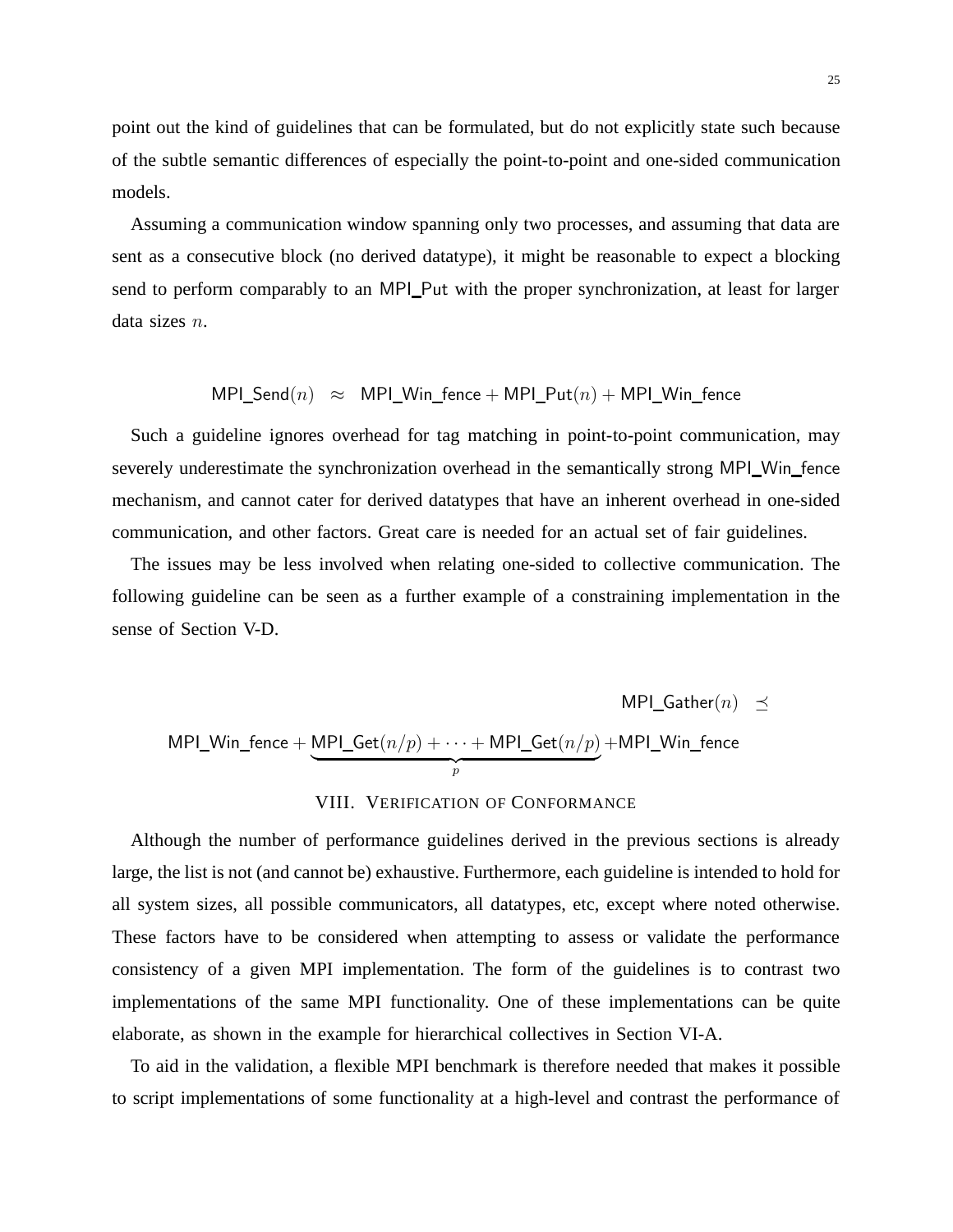point out the kind of guidelines that can be formulated, but do not explicitly state such because of the subtle semantic differences of especially the point-to-point and one-sided communication models.

Assuming a communication window spanning only two processes, and assuming that data are sent as a consecutive block (no derived datatype), it might be reasonable to expect a blocking send to perform comparably to an MPI\_Put with the proper synchronization, at least for larger data sizes n.

$$
\mathsf{MPI\_Send}(n) \;\; \approx \;\; \mathsf{MPI\_Win\_fence} + \mathsf{MPI\_Put}(n) + \mathsf{MPI\_Win\_fence}
$$

Such a guideline ignores overhead for tag matching in point-to-point communication, may severely underestimate the synchronization overhead in the semantically strong MPI Win fence mechanism, and cannot cater for derived datatypes that have an inherent overhead in one-sided communication, and other factors. Great care is needed for an actual set of fair guidelines.

The issues may be less involved when relating one-sided to collective communication. The following guideline can be seen as a further example of a constraining implementation in the sense of Section V-D.

MPI\_Gather $(n) \prec$ 

 $MPI_W$ in\_fence + MPI\_Get $(n/p)$  +  $\cdots$  + MPI\_Get $(n/p)$  $p$  $+$ MPI $\_$ Win $\_$ fence

# VIII. VERIFICATION OF CONFORMANCE

Although the number of performance guidelines derived in the previous sections is already large, the list is not (and cannot be) exhaustive. Furthermore, each guideline is intended to hold for all system sizes, all possible communicators, all datatypes, etc, except where noted otherwise. These factors have to be considered when attempting to assess or validate the performance consistency of a given MPI implementation. The form of the guidelines is to contrast two implementations of the same MPI functionality. One of these implementations can be quite elaborate, as shown in the example for hierarchical collectives in Section VI-A.

To aid in the validation, a flexible MPI benchmark is therefore needed that makes it possible to script implementations of some functionality at a high-level and contrast the performance of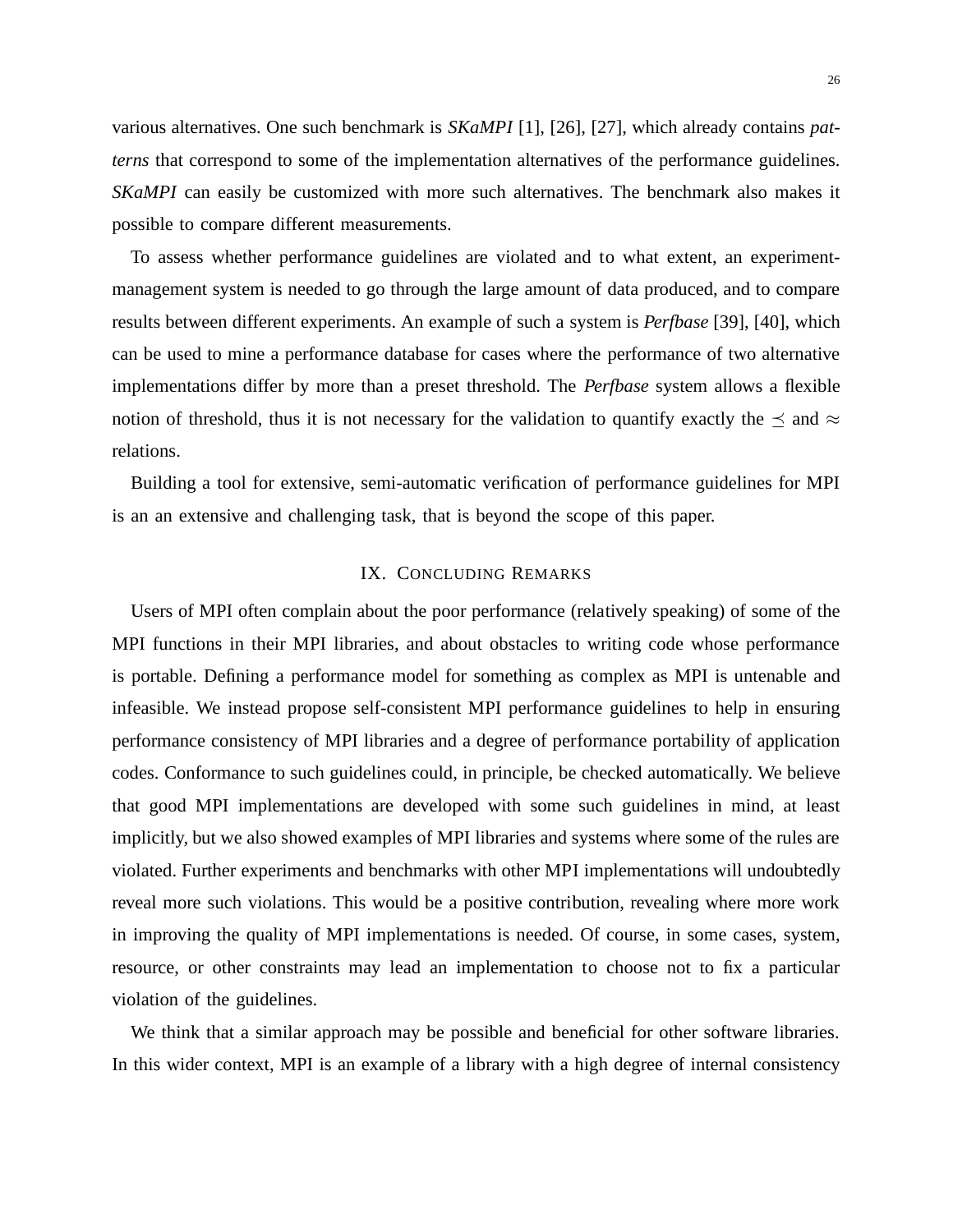various alternatives. One such benchmark is *SKaMPI* [1], [26], [27], which already contains *patterns* that correspond to some of the implementation alternatives of the performance guidelines. *SKaMPI* can easily be customized with more such alternatives. The benchmark also makes it possible to compare different measurements.

To assess whether performance guidelines are violated and to what extent, an experimentmanagement system is needed to go through the large amount of data produced, and to compare results between different experiments. An example of such a system is *Perfbase* [39], [40], which can be used to mine a performance database for cases where the performance of two alternative implementations differ by more than a preset threshold. The *Perfbase* system allows a flexible notion of threshold, thus it is not necessary for the validation to quantify exactly the  $\preceq$  and  $\approx$ relations.

Building a tool for extensive, semi-automatic verification of performance guidelines for MPI is an an extensive and challenging task, that is beyond the scope of this paper.

# IX. CONCLUDING REMARKS

Users of MPI often complain about the poor performance (relatively speaking) of some of the MPI functions in their MPI libraries, and about obstacles to writing code whose performance is portable. Defining a performance model for something as complex as MPI is untenable and infeasible. We instead propose self-consistent MPI performance guidelines to help in ensuring performance consistency of MPI libraries and a degree of performance portability of application codes. Conformance to such guidelines could, in principle, be checked automatically. We believe that good MPI implementations are developed with some such guidelines in mind, at least implicitly, but we also showed examples of MPI libraries and systems where some of the rules are violated. Further experiments and benchmarks with other MPI implementations will undoubtedly reveal more such violations. This would be a positive contribution, revealing where more work in improving the quality of MPI implementations is needed. Of course, in some cases, system, resource, or other constraints may lead an implementation to choose not to fix a particular violation of the guidelines.

We think that a similar approach may be possible and beneficial for other software libraries. In this wider context, MPI is an example of a library with a high degree of internal consistency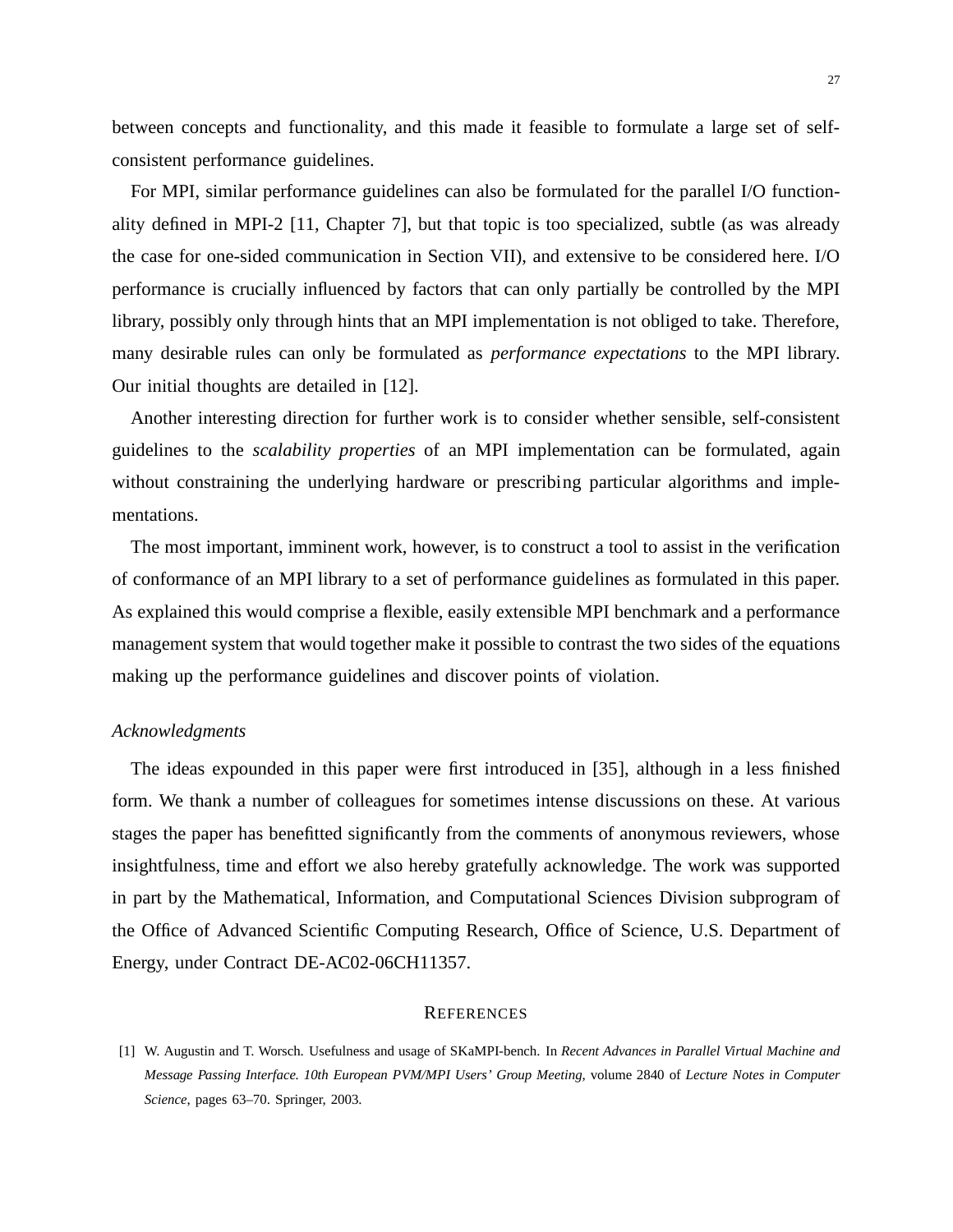between concepts and functionality, and this made it feasible to formulate a large set of selfconsistent performance guidelines.

For MPI, similar performance guidelines can also be formulated for the parallel I/O functionality defined in MPI-2 [11, Chapter 7], but that topic is too specialized, subtle (as was already the case for one-sided communication in Section VII), and extensive to be considered here. I/O performance is crucially influenced by factors that can only partially be controlled by the MPI library, possibly only through hints that an MPI implementation is not obliged to take. Therefore, many desirable rules can only be formulated as *performance expectations* to the MPI library. Our initial thoughts are detailed in [12].

Another interesting direction for further work is to consider whether sensible, self-consistent guidelines to the *scalability properties* of an MPI implementation can be formulated, again without constraining the underlying hardware or prescribing particular algorithms and implementations.

The most important, imminent work, however, is to construct a tool to assist in the verification of conformance of an MPI library to a set of performance guidelines as formulated in this paper. As explained this would comprise a flexible, easily extensible MPI benchmark and a performance management system that would together make it possible to contrast the two sides of the equations making up the performance guidelines and discover points of violation.

#### *Acknowledgments*

The ideas expounded in this paper were first introduced in [35], although in a less finished form. We thank a number of colleagues for sometimes intense discussions on these. At various stages the paper has benefitted significantly from the comments of anonymous reviewers, whose insightfulness, time and effort we also hereby gratefully acknowledge. The work was supported in part by the Mathematical, Information, and Computational Sciences Division subprogram of the Office of Advanced Scientific Computing Research, Office of Science, U.S. Department of Energy, under Contract DE-AC02-06CH11357.

#### **REFERENCES**

<sup>[1]</sup> W. Augustin and T. Worsch. Usefulness and usage of SKaMPI-bench. In *Recent Advances in Parallel Virtual Machine and Message Passing Interface. 10th European PVM/MPI Users' Group Meeting*, volume 2840 of *Lecture Notes in Computer Science*, pages 63–70. Springer, 2003.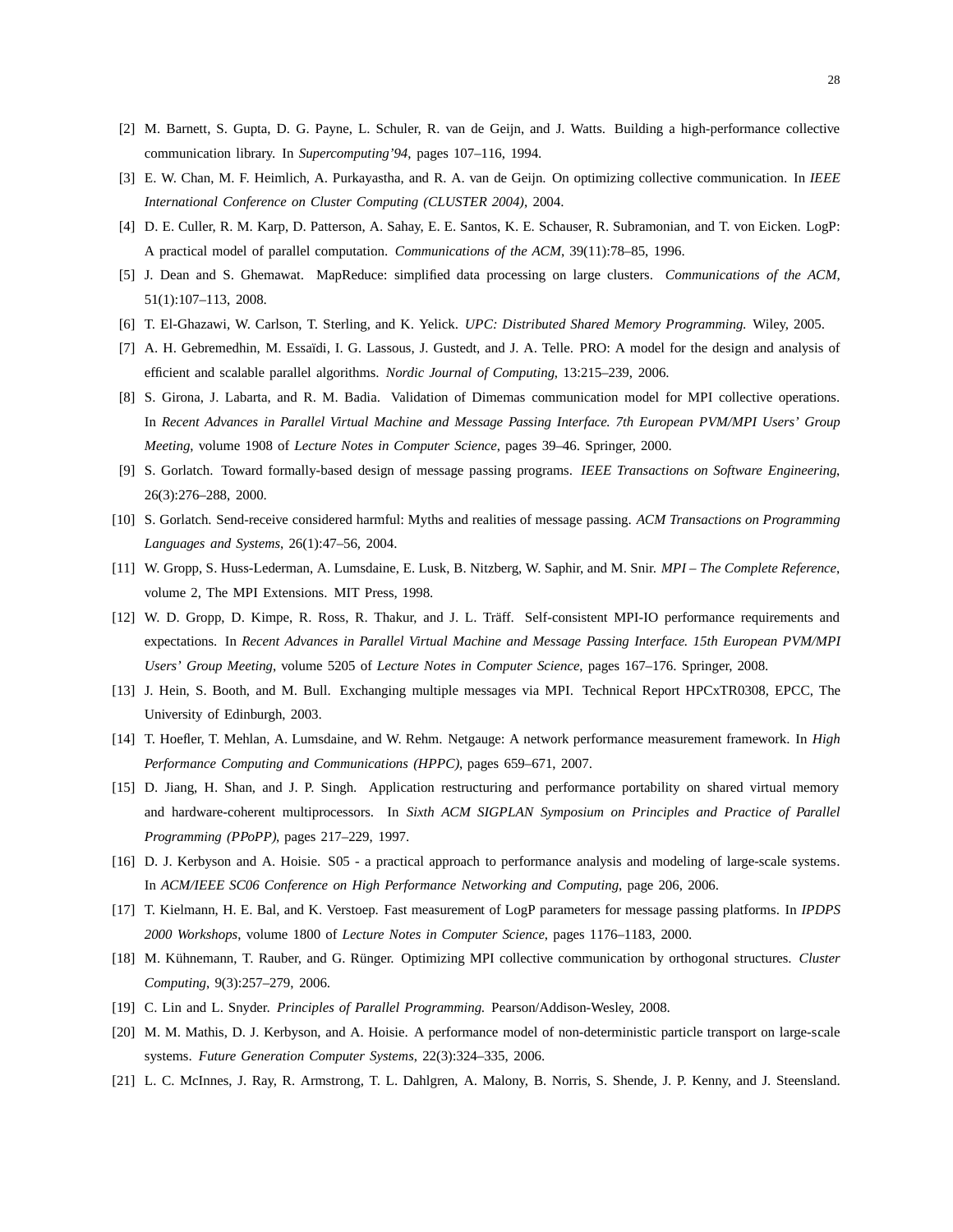- [2] M. Barnett, S. Gupta, D. G. Payne, L. Schuler, R. van de Geijn, and J. Watts. Building a high-performance collective communication library. In *Supercomputing'94*, pages 107–116, 1994.
- [3] E. W. Chan, M. F. Heimlich, A. Purkayastha, and R. A. van de Geijn. On optimizing collective communication. In *IEEE International Conference on Cluster Computing (CLUSTER 2004)*, 2004.
- [4] D. E. Culler, R. M. Karp, D. Patterson, A. Sahay, E. E. Santos, K. E. Schauser, R. Subramonian, and T. von Eicken. LogP: A practical model of parallel computation. *Communications of the ACM*, 39(11):78–85, 1996.
- [5] J. Dean and S. Ghemawat. MapReduce: simplified data processing on large clusters. *Communications of the ACM*, 51(1):107–113, 2008.
- [6] T. El-Ghazawi, W. Carlson, T. Sterling, and K. Yelick. *UPC: Distributed Shared Memory Programming*. Wiley, 2005.
- [7] A. H. Gebremedhin, M. Essaïdi, I. G. Lassous, J. Gustedt, and J. A. Telle. PRO: A model for the design and analysis of efficient and scalable parallel algorithms. *Nordic Journal of Computing*, 13:215–239, 2006.
- [8] S. Girona, J. Labarta, and R. M. Badia. Validation of Dimemas communication model for MPI collective operations. In *Recent Advances in Parallel Virtual Machine and Message Passing Interface. 7th European PVM/MPI Users' Group Meeting*, volume 1908 of *Lecture Notes in Computer Science*, pages 39–46. Springer, 2000.
- [9] S. Gorlatch. Toward formally-based design of message passing programs. *IEEE Transactions on Software Engineering*, 26(3):276–288, 2000.
- [10] S. Gorlatch. Send-receive considered harmful: Myths and realities of message passing. *ACM Transactions on Programming Languages and Systems*, 26(1):47–56, 2004.
- [11] W. Gropp, S. Huss-Lederman, A. Lumsdaine, E. Lusk, B. Nitzberg, W. Saphir, and M. Snir. *MPI The Complete Reference*, volume 2, The MPI Extensions. MIT Press, 1998.
- [12] W. D. Gropp, D. Kimpe, R. Ross, R. Thakur, and J. L. Träff. Self-consistent MPI-IO performance requirements and expectations. In *Recent Advances in Parallel Virtual Machine and Message Passing Interface. 15th European PVM/MPI Users' Group Meeting*, volume 5205 of *Lecture Notes in Computer Science*, pages 167–176. Springer, 2008.
- [13] J. Hein, S. Booth, and M. Bull. Exchanging multiple messages via MPI. Technical Report HPCxTR0308, EPCC, The University of Edinburgh, 2003.
- [14] T. Hoefler, T. Mehlan, A. Lumsdaine, and W. Rehm. Netgauge: A network performance measurement framework. In *High Performance Computing and Communications (HPPC)*, pages 659–671, 2007.
- [15] D. Jiang, H. Shan, and J. P. Singh. Application restructuring and performance portability on shared virtual memory and hardware-coherent multiprocessors. In *Sixth ACM SIGPLAN Symposium on Principles and Practice of Parallel Programming (PPoPP)*, pages 217–229, 1997.
- [16] D. J. Kerbyson and A. Hoisie. S05 a practical approach to performance analysis and modeling of large-scale systems. In *ACM/IEEE SC06 Conference on High Performance Networking and Computing*, page 206, 2006.
- [17] T. Kielmann, H. E. Bal, and K. Verstoep. Fast measurement of LogP parameters for message passing platforms. In *IPDPS 2000 Workshops*, volume 1800 of *Lecture Notes in Computer Science*, pages 1176–1183, 2000.
- [18] M. Kühnemann, T. Rauber, and G. Rünger. Optimizing MPI collective communication by orthogonal structures. *Cluster Computing*, 9(3):257–279, 2006.
- [19] C. Lin and L. Snyder. *Principles of Parallel Programming*. Pearson/Addison-Wesley, 2008.
- [20] M. M. Mathis, D. J. Kerbyson, and A. Hoisie. A performance model of non-deterministic particle transport on large-scale systems. *Future Generation Computer Systems*, 22(3):324–335, 2006.
- [21] L. C. McInnes, J. Ray, R. Armstrong, T. L. Dahlgren, A. Malony, B. Norris, S. Shende, J. P. Kenny, and J. Steensland.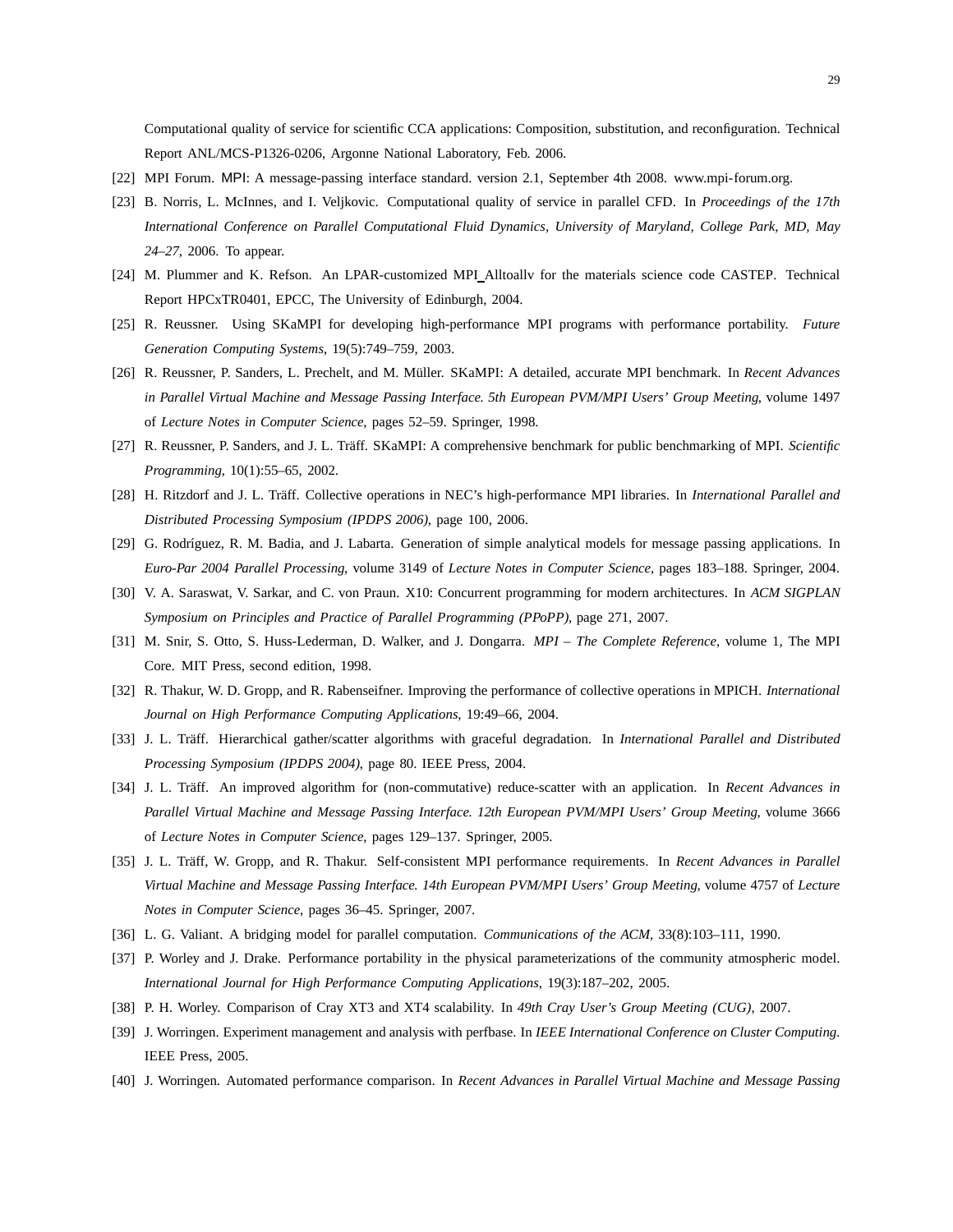Computational quality of service for scientific CCA applications: Composition, substitution, and reconfiguration. Technical Report ANL/MCS-P1326-0206, Argonne National Laboratory, Feb. 2006.

- [22] MPI Forum. MPI: A message-passing interface standard. version 2.1, September 4th 2008. www.mpi-forum.org.
- [23] B. Norris, L. McInnes, and I. Veljkovic. Computational quality of service in parallel CFD. In *Proceedings of the 17th International Conference on Parallel Computational Fluid Dynamics, University of Maryland, College Park, MD, May 24–27*, 2006. To appear.
- [24] M. Plummer and K. Refson. An LPAR-customized MPI Alltoallv for the materials science code CASTEP. Technical Report HPCxTR0401, EPCC, The University of Edinburgh, 2004.
- [25] R. Reussner. Using SKaMPI for developing high-performance MPI programs with performance portability. *Future Generation Computing Systems*, 19(5):749–759, 2003.
- [26] R. Reussner, P. Sanders, L. Prechelt, and M. Müller. SKaMPI: A detailed, accurate MPI benchmark. In *Recent Advances in Parallel Virtual Machine and Message Passing Interface. 5th European PVM/MPI Users' Group Meeting*, volume 1497 of *Lecture Notes in Computer Science*, pages 52–59. Springer, 1998.
- [27] R. Reussner, P. Sanders, and J. L. Träff. SKaMPI: A comprehensive benchmark for public benchmarking of MPI. *Scientific Programming*, 10(1):55–65, 2002.
- [28] H. Ritzdorf and J. L. Träff. Collective operations in NEC's high-performance MPI libraries. In *International Parallel and Distributed Processing Symposium (IPDPS 2006)*, page 100, 2006.
- [29] G. Rodríguez, R. M. Badia, and J. Labarta. Generation of simple analytical models for message passing applications. In *Euro-Par 2004 Parallel Processing*, volume 3149 of *Lecture Notes in Computer Science*, pages 183–188. Springer, 2004.
- [30] V. A. Saraswat, V. Sarkar, and C. von Praun. X10: Concurrent programming for modern architectures. In *ACM SIGPLAN Symposium on Principles and Practice of Parallel Programming (PPoPP)*, page 271, 2007.
- [31] M. Snir, S. Otto, S. Huss-Lederman, D. Walker, and J. Dongarra. *MPI The Complete Reference*, volume 1, The MPI Core. MIT Press, second edition, 1998.
- [32] R. Thakur, W. D. Gropp, and R. Rabenseifner. Improving the performance of collective operations in MPICH. *International Journal on High Performance Computing Applications*, 19:49–66, 2004.
- [33] J. L. Träff. Hierarchical gather/scatter algorithms with graceful degradation. In *International Parallel and Distributed Processing Symposium (IPDPS 2004)*, page 80. IEEE Press, 2004.
- [34] J. L. Träff. An improved algorithm for (non-commutative) reduce-scatter with an application. In *Recent Advances in Parallel Virtual Machine and Message Passing Interface. 12th European PVM/MPI Users' Group Meeting*, volume 3666 of *Lecture Notes in Computer Science*, pages 129–137. Springer, 2005.
- [35] J. L. Träff, W. Gropp, and R. Thakur. Self-consistent MPI performance requirements. In *Recent Advances in Parallel Virtual Machine and Message Passing Interface. 14th European PVM/MPI Users' Group Meeting*, volume 4757 of *Lecture Notes in Computer Science*, pages 36–45. Springer, 2007.
- [36] L. G. Valiant. A bridging model for parallel computation. *Communications of the ACM*, 33(8):103–111, 1990.
- [37] P. Worley and J. Drake. Performance portability in the physical parameterizations of the community atmospheric model. *International Journal for High Performance Computing Applications*, 19(3):187–202, 2005.
- [38] P. H. Worley. Comparison of Cray XT3 and XT4 scalability. In *49th Cray User's Group Meeting (CUG)*, 2007.
- [39] J. Worringen. Experiment management and analysis with perfbase. In *IEEE International Conference on Cluster Computing*. IEEE Press, 2005.
- [40] J. Worringen. Automated performance comparison. In *Recent Advances in Parallel Virtual Machine and Message Passing*